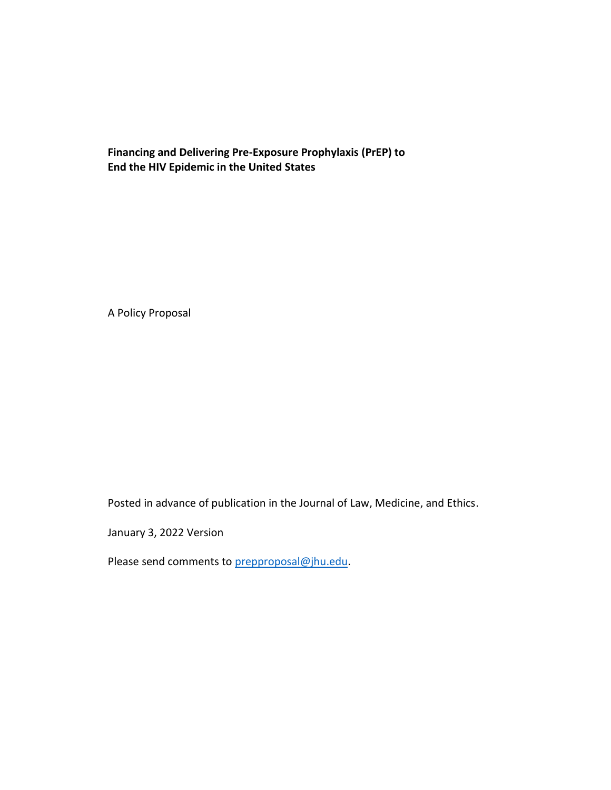#### **Financing and Delivering Pre-Exposure Prophylaxis (PrEP) to End the HIV Epidemic in the United States**

A Policy Proposal

Posted in advance of publication in the Journal of Law, Medicine, and Ethics.

January 3, 2022 Version

Please send comments to [prepproposal@jhu.edu.](mailto:prepproposal@jhu.edu)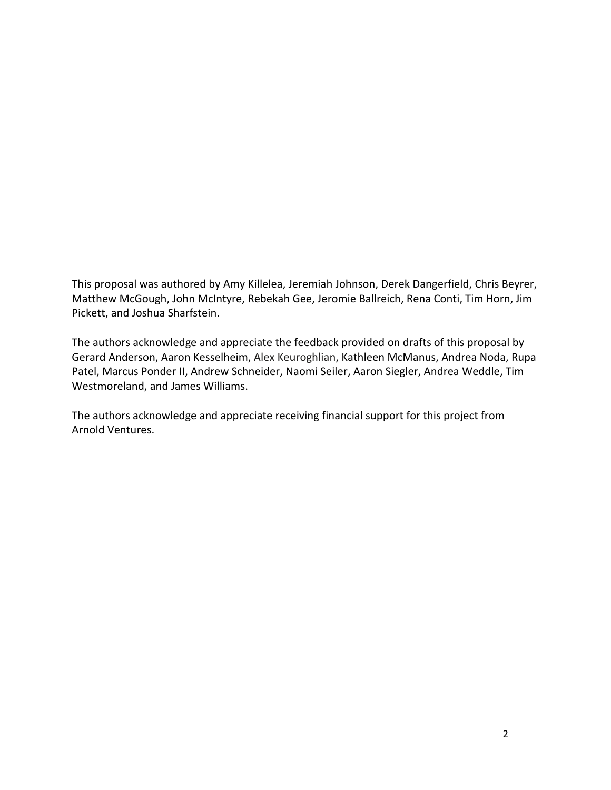This proposal was authored by Amy Killelea, Jeremiah Johnson, Derek Dangerfield, Chris Beyrer, Matthew McGough, John McIntyre, Rebekah Gee, Jeromie Ballreich, Rena Conti, Tim Horn, Jim Pickett, and Joshua Sharfstein.

The authors acknowledge and appreciate the feedback provided on drafts of this proposal by Gerard Anderson, Aaron Kesselheim, Alex Keuroghlian, Kathleen McManus, Andrea Noda, Rupa Patel, Marcus Ponder II, Andrew Schneider, Naomi Seiler, Aaron Siegler, Andrea Weddle, Tim Westmoreland, and James Williams.

The authors acknowledge and appreciate receiving financial support for this project from Arnold Ventures.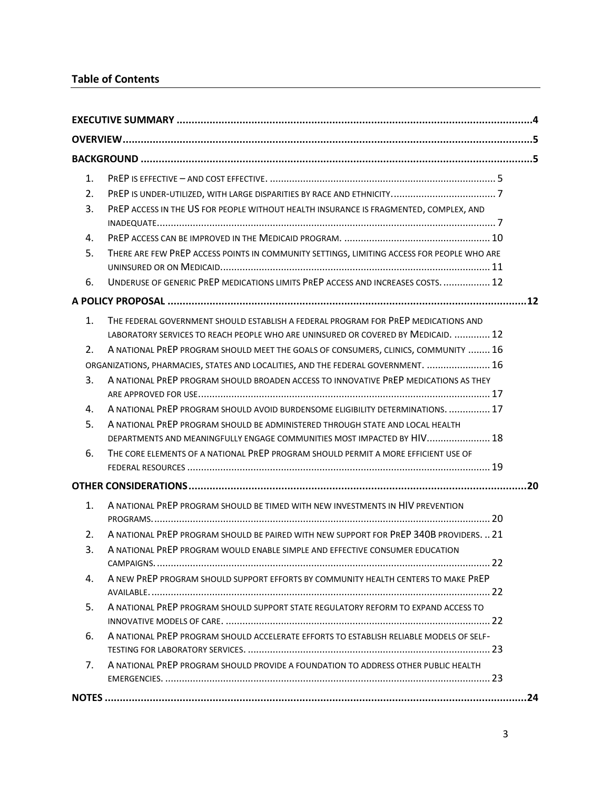## **Table of Contents**

| $\mathbf{1}$ . |                                                                                                                                                                         |  |  |  |
|----------------|-------------------------------------------------------------------------------------------------------------------------------------------------------------------------|--|--|--|
| 2.             |                                                                                                                                                                         |  |  |  |
| 3.             | PREP ACCESS IN THE US FOR PEOPLE WITHOUT HEALTH INSURANCE IS FRAGMENTED, COMPLEX, AND                                                                                   |  |  |  |
| 4.             |                                                                                                                                                                         |  |  |  |
| 5.             | THERE ARE FEW PREP ACCESS POINTS IN COMMUNITY SETTINGS, LIMITING ACCESS FOR PEOPLE WHO ARE                                                                              |  |  |  |
| 6.             | UNDERUSE OF GENERIC PREP MEDICATIONS LIMITS PREP ACCESS AND INCREASES COSTS.  12                                                                                        |  |  |  |
|                |                                                                                                                                                                         |  |  |  |
| $\mathbf{1}$ . | THE FEDERAL GOVERNMENT SHOULD ESTABLISH A FEDERAL PROGRAM FOR PREP MEDICATIONS AND<br>LABORATORY SERVICES TO REACH PEOPLE WHO ARE UNINSURED OR COVERED BY MEDICAID.  12 |  |  |  |
| 2.             | A NATIONAL PREP PROGRAM SHOULD MEET THE GOALS OF CONSUMERS, CLINICS, COMMUNITY  16                                                                                      |  |  |  |
|                | ORGANIZATIONS, PHARMACIES, STATES AND LOCALITIES, AND THE FEDERAL GOVERNMENT.  16                                                                                       |  |  |  |
| 3.             | A NATIONAL PREP PROGRAM SHOULD BROADEN ACCESS TO INNOVATIVE PREP MEDICATIONS AS THEY                                                                                    |  |  |  |
| 4.             | A NATIONAL PREP PROGRAM SHOULD AVOID BURDENSOME ELIGIBILITY DETERMINATIONS.  17                                                                                         |  |  |  |
| 5.             | A NATIONAL PREP PROGRAM SHOULD BE ADMINISTERED THROUGH STATE AND LOCAL HEALTH<br>DEPARTMENTS AND MEANINGFULLY ENGAGE COMMUNITIES MOST IMPACTED BY HIV 18                |  |  |  |
| 6.             | THE CORE ELEMENTS OF A NATIONAL PREP PROGRAM SHOULD PERMIT A MORE EFFICIENT USE OF                                                                                      |  |  |  |
|                |                                                                                                                                                                         |  |  |  |
| 1.             | A NATIONAL PREP PROGRAM SHOULD BE TIMED WITH NEW INVESTMENTS IN HIV PREVENTION                                                                                          |  |  |  |
|                |                                                                                                                                                                         |  |  |  |
| 2.             | A NATIONAL PREP PROGRAM SHOULD BE PAIRED WITH NEW SUPPORT FOR PREP 340B PROVIDERS. 21                                                                                   |  |  |  |
| 3.             | A NATIONAL PREP PROGRAM WOULD ENABLE SIMPLE AND EFFECTIVE CONSUMER EDUCATION                                                                                            |  |  |  |
| 4.             | A NEW PREP PROGRAM SHOULD SUPPORT EFFORTS BY COMMUNITY HEALTH CENTERS TO MAKE PREP                                                                                      |  |  |  |
| 5.             | A NATIONAL PREP PROGRAM SHOULD SUPPORT STATE REGULATORY REFORM TO EXPAND ACCESS TO                                                                                      |  |  |  |
| 6.             | A NATIONAL PREP PROGRAM SHOULD ACCELERATE EFFORTS TO ESTABLISH RELIABLE MODELS OF SELF-                                                                                 |  |  |  |
| 7.             | A NATIONAL PREP PROGRAM SHOULD PROVIDE A FOUNDATION TO ADDRESS OTHER PUBLIC HEALTH                                                                                      |  |  |  |
|                |                                                                                                                                                                         |  |  |  |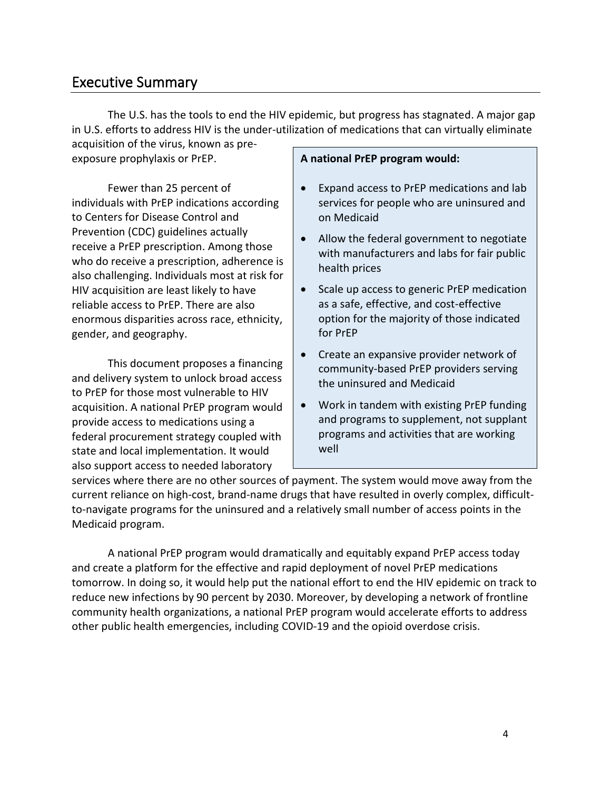# <span id="page-3-0"></span>Executive Summary

The U.S. has the tools to end the HIV epidemic, but progress has stagnated. A major gap in U.S. efforts to address HIV is the under-utilization of medications that can virtually eliminate

acquisition of the virus, known as preexposure prophylaxis or PrEP.

Fewer than 25 percent of individuals with PrEP indications according to Centers for Disease Control and Prevention (CDC) guidelines actually receive a PrEP prescription. Among those who do receive a prescription, adherence is also challenging. Individuals most at risk for HIV acquisition are least likely to have reliable access to PrEP. There are also enormous disparities across race, ethnicity, gender, and geography.

This document proposes a financing and delivery system to unlock broad access to PrEP for those most vulnerable to HIV acquisition. A national PrEP program would provide access to medications using a federal procurement strategy coupled with state and local implementation. It would also support access to needed laboratory

#### **A national PrEP program would:**

- Expand access to PrEP medications and lab services for people who are uninsured and on Medicaid
- Allow the federal government to negotiate with manufacturers and labs for fair public health prices
- Scale up access to generic PrEP medication as a safe, effective, and cost-effective option for the majority of those indicated for PrEP
- Create an expansive provider network of community-based PrEP providers serving the uninsured and Medicaid
- Work in tandem with existing PrEP funding and programs to supplement, not supplant programs and activities that are working well

services where there are no other sources of payment. The system would move away from the current reliance on high-cost, brand-name drugs that have resulted in overly complex, difficultto-navigate programs for the uninsured and a relatively small number of access points in the Medicaid program.

A national PrEP program would dramatically and equitably expand PrEP access today and create a platform for the effective and rapid deployment of novel PrEP medications tomorrow. In doing so, it would help put the national effort to end the HIV epidemic on track to reduce new infections by 90 percent by 2030. Moreover, by developing a network of frontline community health organizations, a national PrEP program would accelerate efforts to address other public health emergencies, including COVID-19 and the opioid overdose crisis.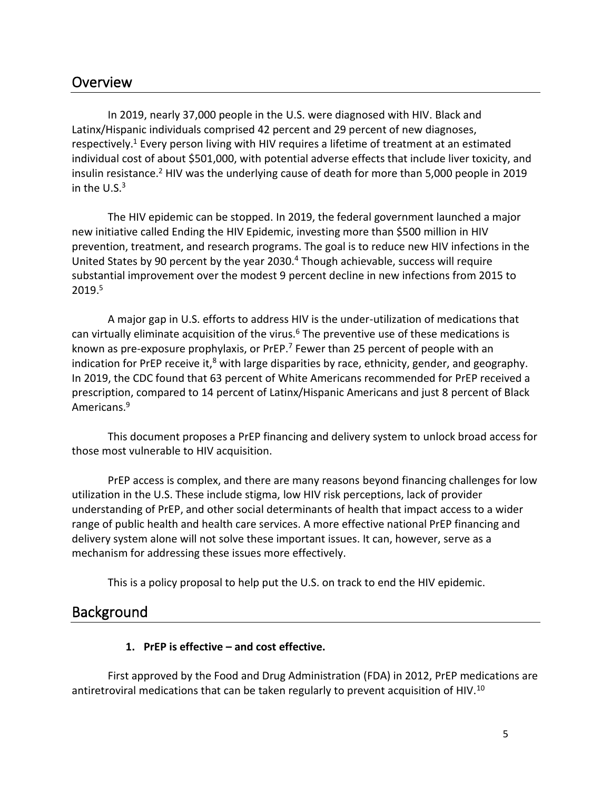# <span id="page-4-0"></span>**Overview**

In 2019, nearly 37,000 people in the U.S. were diagnosed with HIV. Black and Latinx/Hispanic individuals comprised 42 percent and 29 percent of new diagnoses, respectively.<sup>1</sup> Every person living with HIV requires a lifetime of treatment at an estimated individual cost of about \$501,000, with potential adverse effects that include liver toxicity, and insulin resistance.<sup>2</sup> HIV was the underlying cause of death for more than 5,000 people in 2019 in the  $U.S.<sup>3</sup>$ 

The HIV epidemic can be stopped. In 2019, the federal government launched a major new initiative called Ending the HIV Epidemic, investing more than \$500 million in HIV prevention, treatment, and research programs. The goal is to reduce new HIV infections in the United States by 90 percent by the year 2030.<sup>4</sup> Though achievable, success will require substantial improvement over the modest 9 percent decline in new infections from 2015 to 2019.<sup>5</sup>

A major gap in U.S. efforts to address HIV is the under-utilization of medications that can virtually eliminate acquisition of the virus. $6$  The preventive use of these medications is known as pre-exposure prophylaxis, or PrEP. $<sup>7</sup>$  Fewer than 25 percent of people with an</sup> indication for PrEP receive it, $^8$  with large disparities by race, ethnicity, gender, and geography. In 2019, the CDC found that 63 percent of White Americans recommended for PrEP received a prescription, compared to 14 percent of Latinx/Hispanic Americans and just 8 percent of Black Americans.<sup>9</sup>

This document proposes a PrEP financing and delivery system to unlock broad access for those most vulnerable to HIV acquisition.

PrEP access is complex, and there are many reasons beyond financing challenges for low utilization in the U.S. These include stigma, low HIV risk perceptions, lack of provider understanding of PrEP, and other social determinants of health that impact access to a wider range of public health and health care services. A more effective national PrEP financing and delivery system alone will not solve these important issues. It can, however, serve as a mechanism for addressing these issues more effectively.

This is a policy proposal to help put the U.S. on track to end the HIV epidemic.

## <span id="page-4-2"></span><span id="page-4-1"></span>**Background**

#### **1. PrEP is effective – and cost effective.**

First approved by the Food and Drug Administration (FDA) in 2012, PrEP medications are antiretroviral medications that can be taken regularly to prevent acquisition of HIV.<sup>10</sup>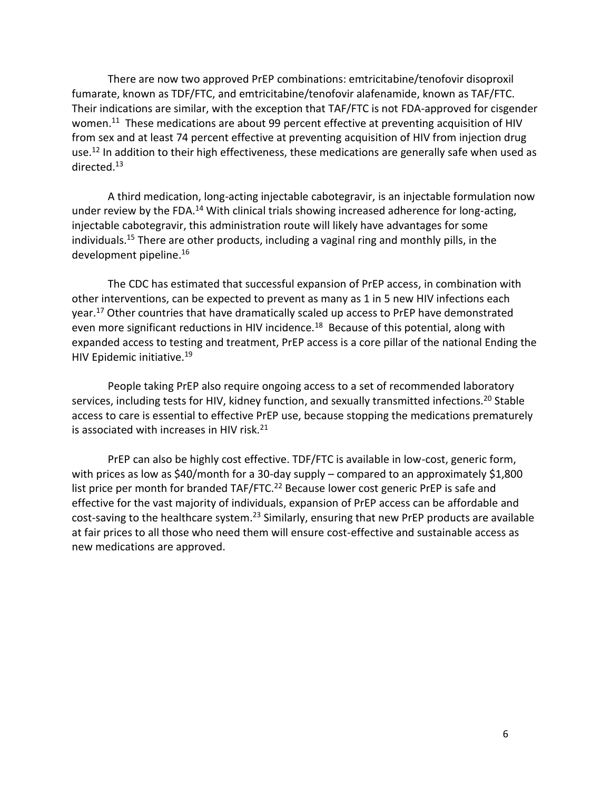There are now two approved PrEP combinations: emtricitabine/tenofovir disoproxil fumarate, known as TDF/FTC, and emtricitabine/tenofovir alafenamide, known as TAF/FTC. Their indications are similar, with the exception that TAF/FTC is not FDA-approved for cisgender women.<sup>11</sup> These medications are about 99 percent effective at preventing acquisition of HIV from sex and at least 74 percent effective at preventing acquisition of HIV from injection drug use.<sup>12</sup> In addition to their high effectiveness, these medications are generally safe when used as directed. 13

A third medication, long-acting injectable cabotegravir, is an injectable formulation now under review by the FDA.<sup>14</sup> With clinical trials showing increased adherence for long-acting, injectable cabotegravir, this administration route will likely have advantages for some individuals.<sup>15</sup> There are other products, including a vaginal ring and monthly pills, in the development pipeline.<sup>16</sup>

The CDC has estimated that successful expansion of PrEP access, in combination with other interventions, can be expected to prevent as many as 1 in 5 new HIV infections each year.<sup>17</sup> Other countries that have dramatically scaled up access to PrEP have demonstrated even more significant reductions in HIV incidence.<sup>18</sup> Because of this potential, along with expanded access to testing and treatment, PrEP access is a core pillar of the national Ending the HIV Epidemic initiative.<sup>19</sup>

People taking PrEP also require ongoing access to a set of recommended laboratory services, including tests for HIV, kidney function, and sexually transmitted infections.<sup>20</sup> Stable access to care is essential to effective PrEP use, because stopping the medications prematurely is associated with increases in HIV risk. $21$ 

PrEP can also be highly cost effective. TDF/FTC is available in low-cost, generic form, with prices as low as \$40/month for a 30-day supply – compared to an approximately \$1,800 list price per month for branded TAF/FTC.<sup>22</sup> Because lower cost generic PrEP is safe and effective for the vast majority of individuals, expansion of PrEP access can be affordable and cost-saving to the healthcare system.<sup>23</sup> Similarly, ensuring that new PrEP products are available at fair prices to all those who need them will ensure cost-effective and sustainable access as new medications are approved.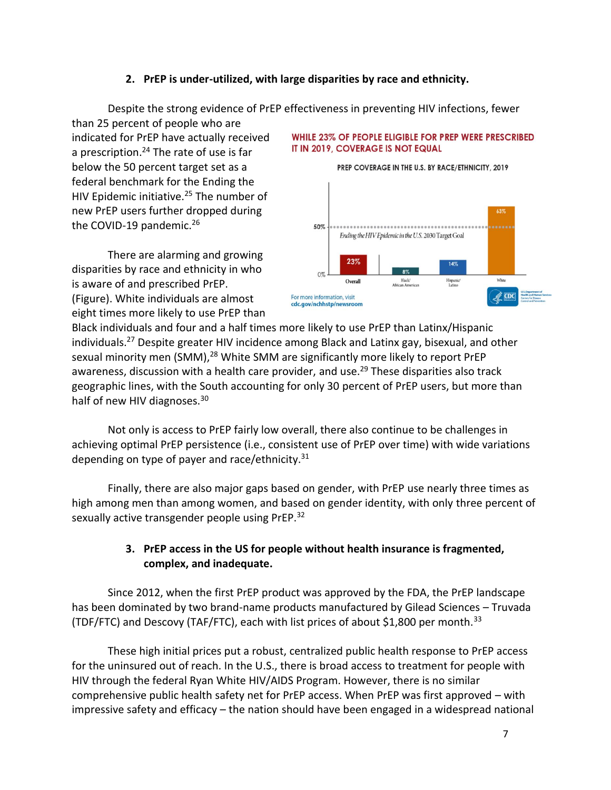#### **2. PrEP is under-utilized, with large disparities by race and ethnicity.**

Despite the strong evidence of PrEP effectiveness in preventing HIV infections, fewer

<span id="page-6-0"></span>than 25 percent of people who are indicated for PrEP have actually received a prescription.<sup>24</sup> The rate of use is far below the 50 percent target set as a federal benchmark for the Ending the HIV Epidemic initiative.<sup>25</sup> The number of new PrEP users further dropped during the COVID-19 pandemic.<sup>26</sup>

There are alarming and growing disparities by race and ethnicity in who is aware of and prescribed PrEP. (Figure). White individuals are almost eight times more likely to use PrEP than

#### WHILE 23% OF PEOPLE ELIGIBLE FOR PREP WERE PRESCRIBED IT IN 2019, COVERAGE IS NOT EQUAL





Black individuals and four and a half times more likely to use PrEP than Latinx/Hispanic individuals.<sup>27</sup> Despite greater HIV incidence among Black and Latinx gay, bisexual, and other sexual minority men (SMM),<sup>28</sup> White SMM are significantly more likely to report PrEP awareness, discussion with a health care provider, and use.<sup>29</sup> These disparities also track geographic lines, with the South accounting for only 30 percent of PrEP users, but more than half of new HIV diagnoses.<sup>30</sup>

Not only is access to PrEP fairly low overall, there also continue to be challenges in achieving optimal PrEP persistence (i.e., consistent use of PrEP over time) with wide variations depending on type of payer and race/ethnicity. $31$ 

Finally, there are also major gaps based on gender, with PrEP use nearly three times as high among men than among women, and based on gender identity, with only three percent of sexually active transgender people using PrEP.<sup>32</sup>

#### **3. PrEP access in the US for people without health insurance is fragmented, complex, and inadequate.**

<span id="page-6-1"></span>Since 2012, when the first PrEP product was approved by the FDA, the PrEP landscape has been dominated by two brand-name products manufactured by Gilead Sciences – Truvada (TDF/FTC) and Descovy (TAF/FTC), each with list prices of about \$1,800 per month.<sup>33</sup>

These high initial prices put a robust, centralized public health response to PrEP access for the uninsured out of reach. In the U.S., there is broad access to treatment for people with HIV through the federal Ryan White HIV/AIDS Program. However, there is no similar comprehensive public health safety net for PrEP access. When PrEP was first approved – with impressive safety and efficacy – the nation should have been engaged in a widespread national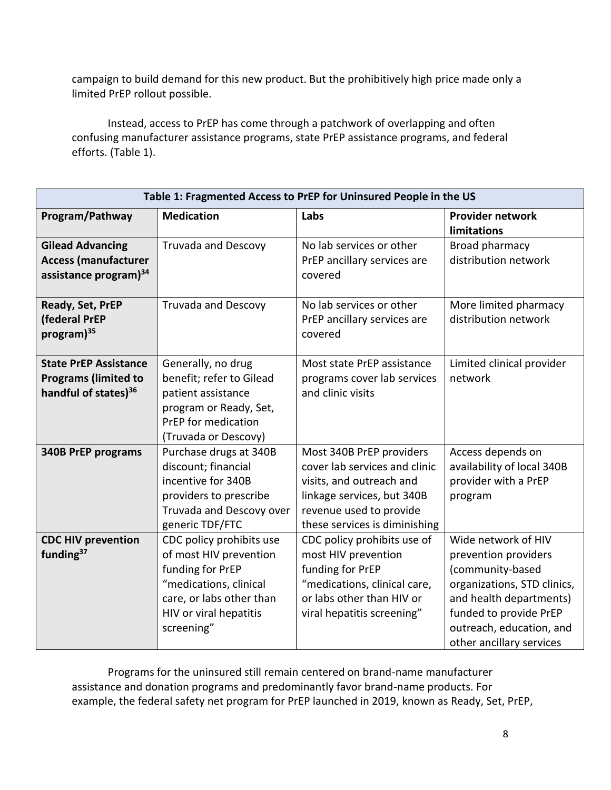campaign to build demand for this new product. But the prohibitively high price made only a limited PrEP rollout possible.

Instead, access to PrEP has come through a patchwork of overlapping and often confusing manufacturer assistance programs, state PrEP assistance programs, and federal efforts. (Table 1).

| Table 1: Fragmented Access to PrEP for Uninsured People in the US                               |                                                                                                                                                                      |                                                                                                                                                                                 |                                                                                                                                                                                                             |  |
|-------------------------------------------------------------------------------------------------|----------------------------------------------------------------------------------------------------------------------------------------------------------------------|---------------------------------------------------------------------------------------------------------------------------------------------------------------------------------|-------------------------------------------------------------------------------------------------------------------------------------------------------------------------------------------------------------|--|
| Program/Pathway                                                                                 | <b>Medication</b>                                                                                                                                                    | Labs                                                                                                                                                                            | Provider network<br>limitations                                                                                                                                                                             |  |
| <b>Gilead Advancing</b><br><b>Access (manufacturer</b><br>assistance program) <sup>34</sup>     | Truvada and Descovy                                                                                                                                                  | No lab services or other<br>PrEP ancillary services are<br>covered                                                                                                              | Broad pharmacy<br>distribution network                                                                                                                                                                      |  |
| Ready, Set, PrEP<br>(federal PrEP<br>program) <sup>35</sup>                                     | <b>Truvada and Descovy</b>                                                                                                                                           | No lab services or other<br>PrEP ancillary services are<br>covered                                                                                                              | More limited pharmacy<br>distribution network                                                                                                                                                               |  |
| <b>State PrEP Assistance</b><br><b>Programs (limited to</b><br>handful of states) <sup>36</sup> | Generally, no drug<br>benefit; refer to Gilead<br>patient assistance<br>program or Ready, Set,<br>PrEP for medication<br>(Truvada or Descovy)                        | Most state PrEP assistance<br>programs cover lab services<br>and clinic visits                                                                                                  | Limited clinical provider<br>network                                                                                                                                                                        |  |
| <b>340B PrEP programs</b>                                                                       | Purchase drugs at 340B<br>discount; financial<br>incentive for 340B<br>providers to prescribe<br>Truvada and Descovy over<br>generic TDF/FTC                         | Most 340B PrEP providers<br>cover lab services and clinic<br>visits, and outreach and<br>linkage services, but 340B<br>revenue used to provide<br>these services is diminishing | Access depends on<br>availability of local 340B<br>provider with a PrEP<br>program                                                                                                                          |  |
| <b>CDC HIV prevention</b><br>funding <sup>37</sup>                                              | CDC policy prohibits use<br>of most HIV prevention<br>funding for PrEP<br>"medications, clinical<br>care, or labs other than<br>HIV or viral hepatitis<br>screening" | CDC policy prohibits use of<br>most HIV prevention<br>funding for PrEP<br>"medications, clinical care,<br>or labs other than HIV or<br>viral hepatitis screening"               | Wide network of HIV<br>prevention providers<br>(community-based<br>organizations, STD clinics,<br>and health departments)<br>funded to provide PrEP<br>outreach, education, and<br>other ancillary services |  |

Programs for the uninsured still remain centered on brand-name manufacturer assistance and donation programs and predominantly favor brand-name products. For example, the federal safety net program for PrEP launched in 2019, known as Ready, Set, PrEP,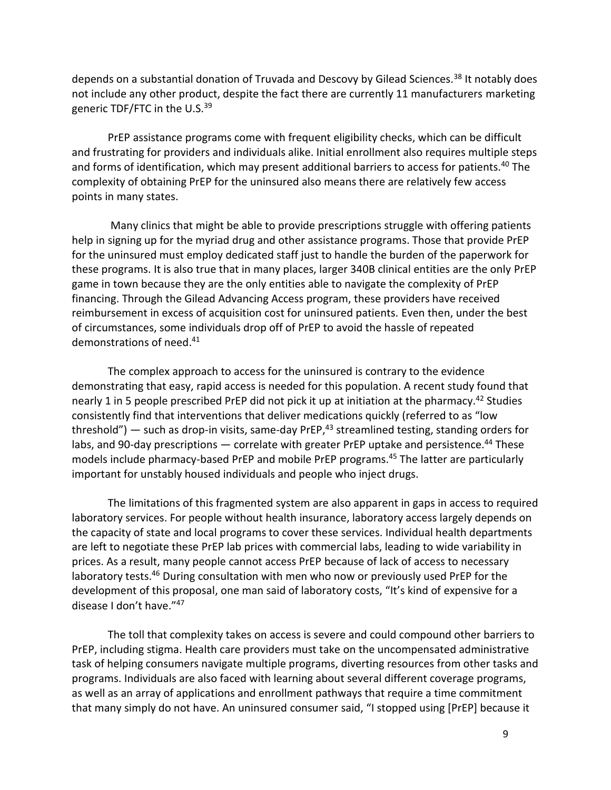depends on a substantial donation of Truvada and Descovy by Gilead Sciences.<sup>38</sup> It notably does not include any other product, despite the fact there are currently 11 manufacturers marketing generic TDF/FTC in the U.S.<sup>39</sup>

PrEP assistance programs come with frequent eligibility checks, which can be difficult and frustrating for providers and individuals alike. Initial enrollment also requires multiple steps and forms of identification, which may present additional barriers to access for patients.<sup>40</sup> The complexity of obtaining PrEP for the uninsured also means there are relatively few access points in many states.

Many clinics that might be able to provide prescriptions struggle with offering patients help in signing up for the myriad drug and other assistance programs. Those that provide PrEP for the uninsured must employ dedicated staff just to handle the burden of the paperwork for these programs. It is also true that in many places, larger 340B clinical entities are the only PrEP game in town because they are the only entities able to navigate the complexity of PrEP financing. Through the Gilead Advancing Access program, these providers have received reimbursement in excess of acquisition cost for uninsured patients. Even then, under the best of circumstances, some individuals drop off of PrEP to avoid the hassle of repeated demonstrations of need.<sup>41</sup>

The complex approach to access for the uninsured is contrary to the evidence demonstrating that easy, rapid access is needed for this population. A recent study found that nearly 1 in 5 people prescribed PrEP did not pick it up at initiation at the pharmacy.<sup>42</sup> Studies consistently find that interventions that deliver medications quickly (referred to as "low threshold") — such as drop-in visits, same-day PrEP, $43$  streamlined testing, standing orders for labs, and 90-day prescriptions  $-$  correlate with greater PrEP uptake and persistence.<sup>44</sup> These models include pharmacy-based PrEP and mobile PrEP programs.<sup>45</sup> The latter are particularly important for unstably housed individuals and people who inject drugs.

The limitations of this fragmented system are also apparent in gaps in access to required laboratory services. For people without health insurance, laboratory access largely depends on the capacity of state and local programs to cover these services. Individual health departments are left to negotiate these PrEP lab prices with commercial labs, leading to wide variability in prices. As a result, many people cannot access PrEP because of lack of access to necessary laboratory tests.<sup>46</sup> During consultation with men who now or previously used PrEP for the development of this proposal, one man said of laboratory costs, "It's kind of expensive for a disease I don't have." 47

The toll that complexity takes on access is severe and could compound other barriers to PrEP, including stigma. Health care providers must take on the uncompensated administrative task of helping consumers navigate multiple programs, diverting resources from other tasks and programs. Individuals are also faced with learning about several different coverage programs, as well as an array of applications and enrollment pathways that require a time commitment that many simply do not have. An uninsured consumer said, "I stopped using [PrEP] because it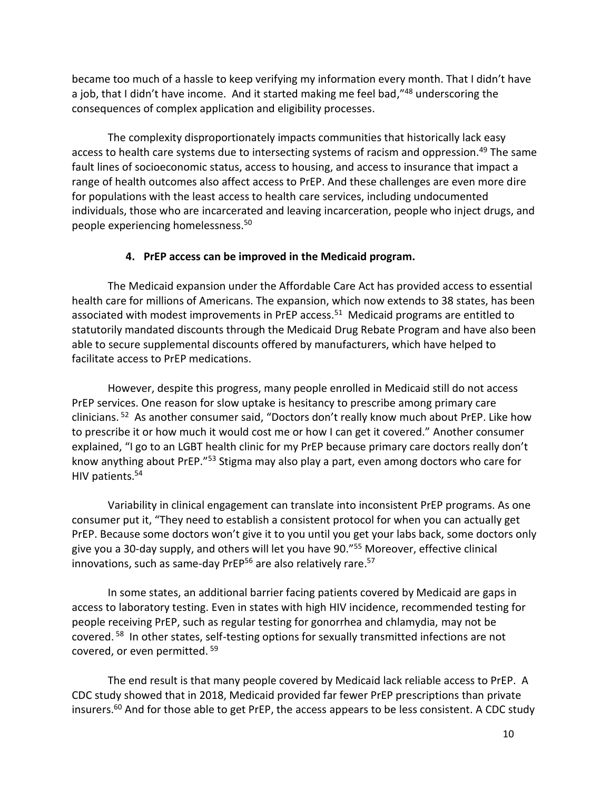became too much of a hassle to keep verifying my information every month. That I didn't have a job, that I didn't have income. And it started making me feel bad,"<sup>48</sup> underscoring the consequences of complex application and eligibility processes.

The complexity disproportionately impacts communities that historically lack easy access to health care systems due to intersecting systems of racism and oppression.<sup>49</sup> The same fault lines of socioeconomic status, access to housing, and access to insurance that impact a range of health outcomes also affect access to PrEP. And these challenges are even more dire for populations with the least access to health care services, including undocumented individuals, those who are incarcerated and leaving incarceration, people who inject drugs, and people experiencing homelessness.<sup>50</sup>

#### **4. PrEP access can be improved in the Medicaid program.**

<span id="page-9-0"></span>The Medicaid expansion under the Affordable Care Act has provided access to essential health care for millions of Americans. The expansion, which now extends to 38 states, has been associated with modest improvements in PrEP access.<sup>51</sup> Medicaid programs are entitled to statutorily mandated discounts through the Medicaid Drug Rebate Program and have also been able to secure supplemental discounts offered by manufacturers, which have helped to facilitate access to PrEP medications.

However, despite this progress, many people enrolled in Medicaid still do not access PrEP services. One reason for slow uptake is hesitancy to prescribe among primary care clinicians. <sup>52</sup> As another consumer said, "Doctors don't really know much about PrEP. Like how to prescribe it or how much it would cost me or how I can get it covered." Another consumer explained, "I go to an LGBT health clinic for my PrEP because primary care doctors really don't know anything about PrEP."<sup>53</sup> Stigma may also play a part, even among doctors who care for HIV patients.<sup>54</sup>

Variability in clinical engagement can translate into inconsistent PrEP programs. As one consumer put it, "They need to establish a consistent protocol for when you can actually get PrEP. Because some doctors won't give it to you until you get your labs back, some doctors only give you a 30-day supply, and others will let you have 90."<sup>55</sup> Moreover, effective clinical innovations, such as same-day PrEP<sup>56</sup> are also relatively rare.<sup>57</sup>

In some states, an additional barrier facing patients covered by Medicaid are gaps in access to laboratory testing. Even in states with high HIV incidence, recommended testing for people receiving PrEP, such as regular testing for gonorrhea and chlamydia, may not be covered.<sup>58</sup> In other states, self-testing options for sexually transmitted infections are not covered, or even permitted. <sup>59</sup>

The end result is that many people covered by Medicaid lack reliable access to PrEP. A CDC study showed that in 2018, Medicaid provided far fewer PrEP prescriptions than private insurers.<sup>60</sup> And for those able to get PrEP, the access appears to be less consistent. A CDC study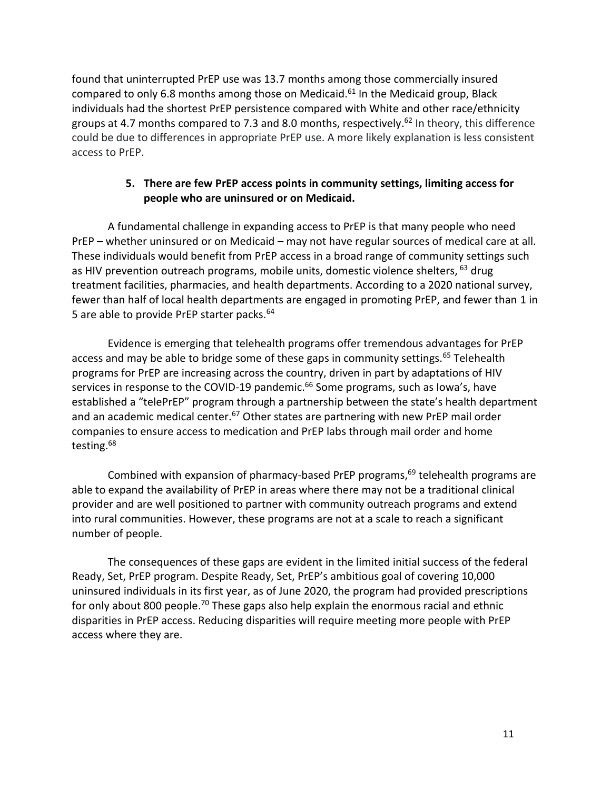found that uninterrupted PrEP use was 13.7 months among those commercially insured compared to only 6.8 months among those on Medicaid.<sup>61</sup> In the Medicaid group, Black individuals had the shortest PrEP persistence compared with White and other race/ethnicity groups at 4.7 months compared to 7.3 and 8.0 months, respectively.<sup>62</sup> In theory, this difference could be due to differences in appropriate PrEP use. A more likely explanation is less consistent access to PrEP.

#### **5. There are few PrEP access points in community settings, limiting access for people who are uninsured or on Medicaid.**

<span id="page-10-0"></span>A fundamental challenge in expanding access to PrEP is that many people who need PrEP – whether uninsured or on Medicaid – may not have regular sources of medical care at all. These individuals would benefit from PrEP access in a broad range of community settings such as HIV prevention outreach programs, mobile units, domestic violence shelters,  $^{63}$  drug treatment facilities, pharmacies, and health departments. According to a 2020 national survey, fewer than half of local health departments are engaged in promoting PrEP, and fewer than 1 in 5 are able to provide PrEP starter packs.<sup>64</sup>

Evidence is emerging that telehealth programs offer tremendous advantages for PrEP access and may be able to bridge some of these gaps in community settings.<sup>65</sup> Telehealth programs for PrEP are increasing across the country, driven in part by adaptations of HIV services in response to the COVID-19 pandemic.<sup>66</sup> Some programs, such as Iowa's, have established a "telePrEP" program through a partnership between the state's health department and an academic medical center. $67$  Other states are partnering with new PrEP mail order companies to ensure access to medication and PrEP labs through mail order and home testing.<sup>68</sup>

Combined with expansion of pharmacy-based PrEP programs, $69$  telehealth programs are able to expand the availability of PrEP in areas where there may not be a traditional clinical provider and are well positioned to partner with community outreach programs and extend into rural communities. However, these programs are not at a scale to reach a significant number of people.

The consequences of these gaps are evident in the limited initial success of the federal Ready, Set, PrEP program. Despite Ready, Set, PrEP's ambitious goal of covering 10,000 uninsured individuals in its first year, as of June 2020, the program had provided prescriptions for only about 800 people.<sup>70</sup> These gaps also help explain the enormous racial and ethnic disparities in PrEP access. Reducing disparities will require meeting more people with PrEP access where they are.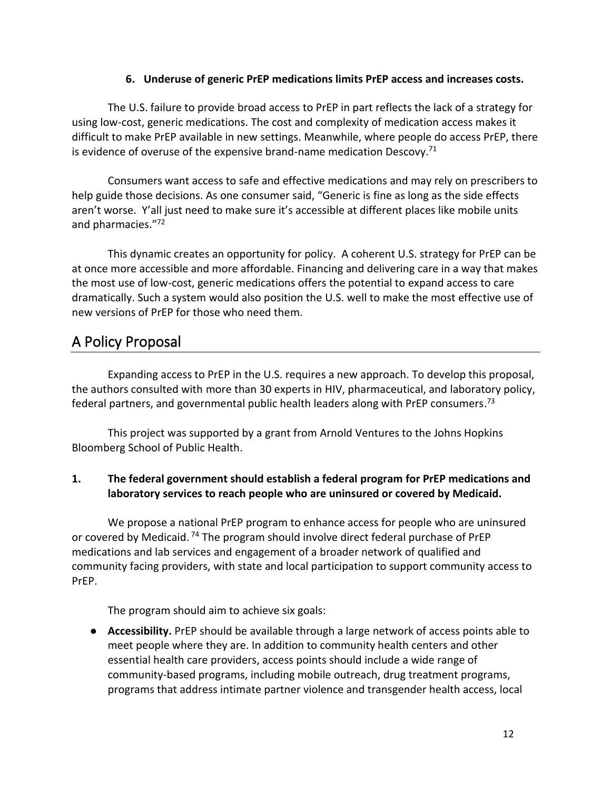#### **6. Underuse of generic PrEP medications limits PrEP access and increases costs.**

<span id="page-11-0"></span>The U.S. failure to provide broad access to PrEP in part reflects the lack of a strategy for using low-cost, generic medications. The cost and complexity of medication access makes it difficult to make PrEP available in new settings. Meanwhile, where people do access PrEP, there is evidence of overuse of the expensive brand-name medication Descovy. $71$ 

Consumers want access to safe and effective medications and may rely on prescribers to help guide those decisions. As one consumer said, "Generic is fine as long as the side effects aren't worse. Y'all just need to make sure it's accessible at different places like mobile units and pharmacies."<sup>72</sup>

This dynamic creates an opportunity for policy. A coherent U.S. strategy for PrEP can be at once more accessible and more affordable. Financing and delivering care in a way that makes the most use of low-cost, generic medications offers the potential to expand access to care dramatically. Such a system would also position the U.S. well to make the most effective use of new versions of PrEP for those who need them.

# <span id="page-11-1"></span>A Policy Proposal

Expanding access to PrEP in the U.S. requires a new approach. To develop this proposal, the authors consulted with more than 30 experts in HIV, pharmaceutical, and laboratory policy, federal partners, and governmental public health leaders along with PrEP consumers.<sup>73</sup>

This project was supported by a grant from Arnold Ventures to the Johns Hopkins Bloomberg School of Public Health.

## <span id="page-11-2"></span>**1. The federal government should establish a federal program for PrEP medications and laboratory services to reach people who are uninsured or covered by Medicaid.**

We propose a national PrEP program to enhance access for people who are uninsured or covered by Medicaid.  $74$  The program should involve direct federal purchase of PrEP medications and lab services and engagement of a broader network of qualified and community facing providers, with state and local participation to support community access to PrEP.

The program should aim to achieve six goals:

● **Accessibility.** PrEP should be available through a large network of access points able to meet people where they are. In addition to community health centers and other essential health care providers, access points should include a wide range of community-based programs, including mobile outreach, drug treatment programs, programs that address intimate partner violence and transgender health access, local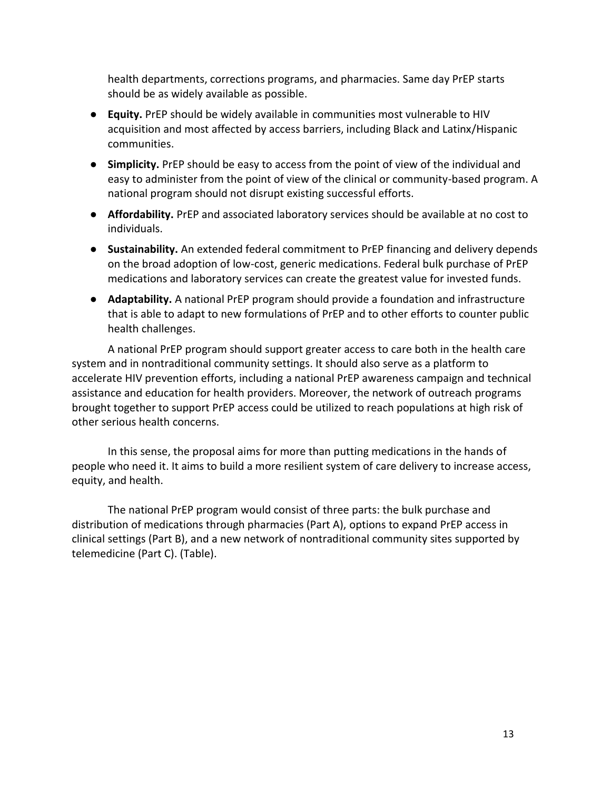health departments, corrections programs, and pharmacies. Same day PrEP starts should be as widely available as possible.

- **Equity.** PrEP should be widely available in communities most vulnerable to HIV acquisition and most affected by access barriers, including Black and Latinx/Hispanic communities.
- **Simplicity.** PrEP should be easy to access from the point of view of the individual and easy to administer from the point of view of the clinical or community-based program. A national program should not disrupt existing successful efforts.
- **Affordability.** PrEP and associated laboratory services should be available at no cost to individuals.
- **Sustainability.** An extended federal commitment to PrEP financing and delivery depends on the broad adoption of low-cost, generic medications. Federal bulk purchase of PrEP medications and laboratory services can create the greatest value for invested funds.
- **Adaptability.** A national PrEP program should provide a foundation and infrastructure that is able to adapt to new formulations of PrEP and to other efforts to counter public health challenges.

A national PrEP program should support greater access to care both in the health care system and in nontraditional community settings. It should also serve as a platform to accelerate HIV prevention efforts, including a national PrEP awareness campaign and technical assistance and education for health providers. Moreover, the network of outreach programs brought together to support PrEP access could be utilized to reach populations at high risk of other serious health concerns.

In this sense, the proposal aims for more than putting medications in the hands of people who need it. It aims to build a more resilient system of care delivery to increase access, equity, and health.

The national PrEP program would consist of three parts: the bulk purchase and distribution of medications through pharmacies (Part A), options to expand PrEP access in clinical settings (Part B), and a new network of nontraditional community sites supported by telemedicine (Part C). (Table).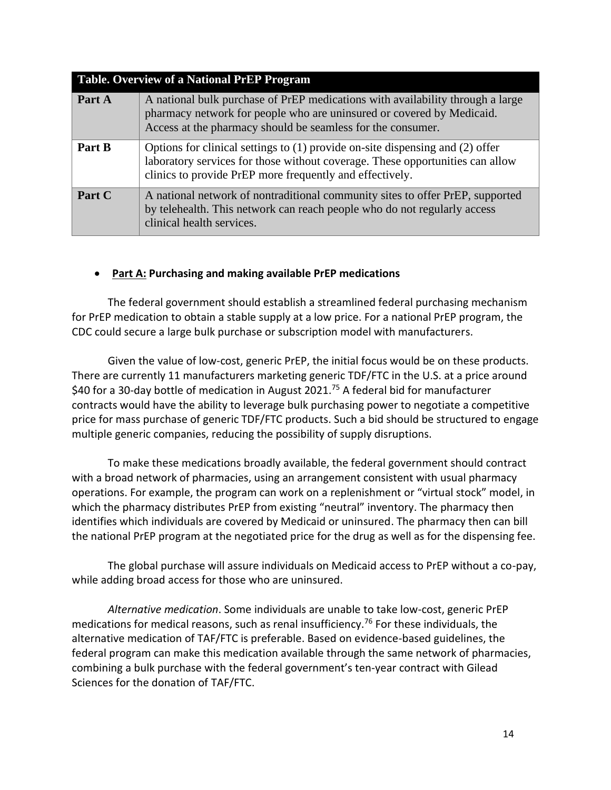| <b>Table. Overview of a National PrEP Program</b> |                                                                                                                                                                                                                            |  |  |  |
|---------------------------------------------------|----------------------------------------------------------------------------------------------------------------------------------------------------------------------------------------------------------------------------|--|--|--|
| Part A                                            | A national bulk purchase of PrEP medications with availability through a large<br>pharmacy network for people who are uninsured or covered by Medicaid.<br>Access at the pharmacy should be seamless for the consumer.     |  |  |  |
| Part B                                            | Options for clinical settings to (1) provide on-site dispensing and (2) offer<br>laboratory services for those without coverage. These opportunities can allow<br>clinics to provide PrEP more frequently and effectively. |  |  |  |
| Part C                                            | A national network of nontraditional community sites to offer PrEP, supported<br>by telehealth. This network can reach people who do not regularly access<br>clinical health services.                                     |  |  |  |

#### • **Part A: Purchasing and making available PrEP medications**

The federal government should establish a streamlined federal purchasing mechanism for PrEP medication to obtain a stable supply at a low price. For a national PrEP program, the CDC could secure a large bulk purchase or subscription model with manufacturers.

Given the value of low-cost, generic PrEP, the initial focus would be on these products. There are currently 11 manufacturers marketing generic TDF/FTC in the U.S. at a price around \$40 for a 30-day bottle of medication in August 2021.<sup>75</sup> A federal bid for manufacturer contracts would have the ability to leverage bulk purchasing power to negotiate a competitive price for mass purchase of generic TDF/FTC products. Such a bid should be structured to engage multiple generic companies, reducing the possibility of supply disruptions.

To make these medications broadly available, the federal government should contract with a broad network of pharmacies, using an arrangement consistent with usual pharmacy operations. For example, the program can work on a replenishment or "virtual stock" model, in which the pharmacy distributes PrEP from existing "neutral" inventory. The pharmacy then identifies which individuals are covered by Medicaid or uninsured. The pharmacy then can bill the national PrEP program at the negotiated price for the drug as well as for the dispensing fee.

The global purchase will assure individuals on Medicaid access to PrEP without a co-pay, while adding broad access for those who are uninsured.

*Alternative medication*. Some individuals are unable to take low-cost, generic PrEP medications for medical reasons, such as renal insufficiency.<sup>76</sup> For these individuals, the alternative medication of TAF/FTC is preferable. Based on evidence-based guidelines, the federal program can make this medication available through the same network of pharmacies, combining a bulk purchase with the federal government's ten-year contract with Gilead Sciences for the donation of TAF/FTC.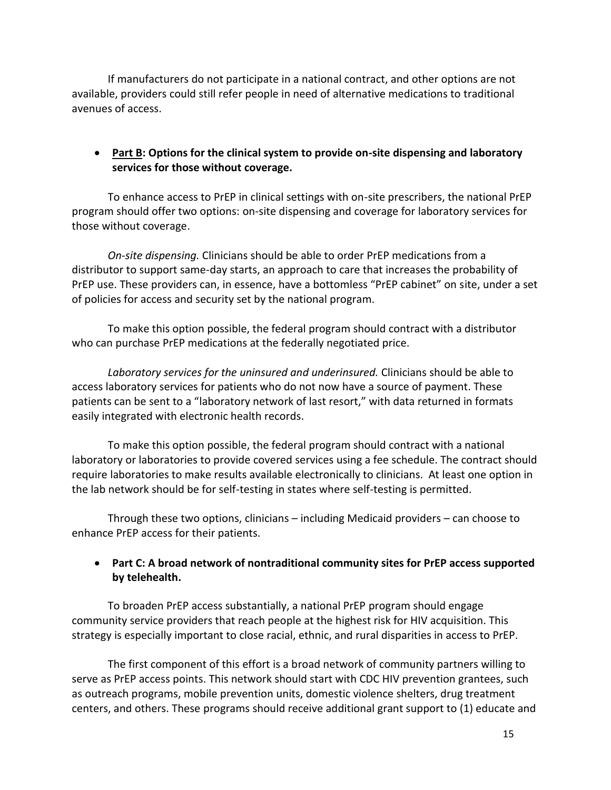If manufacturers do not participate in a national contract, and other options are not available, providers could still refer people in need of alternative medications to traditional avenues of access.

#### • **Part B: Options for the clinical system to provide on-site dispensing and laboratory services for those without coverage.**

To enhance access to PrEP in clinical settings with on-site prescribers, the national PrEP program should offer two options: on-site dispensing and coverage for laboratory services for those without coverage.

*On-site dispensing.* Clinicians should be able to order PrEP medications from a distributor to support same-day starts, an approach to care that increases the probability of PrEP use. These providers can, in essence, have a bottomless "PrEP cabinet" on site, under a set of policies for access and security set by the national program.

To make this option possible, the federal program should contract with a distributor who can purchase PrEP medications at the federally negotiated price.

*Laboratory services for the uninsured and underinsured.* Clinicians should be able to access laboratory services for patients who do not now have a source of payment. These patients can be sent to a "laboratory network of last resort," with data returned in formats easily integrated with electronic health records.

To make this option possible, the federal program should contract with a national laboratory or laboratories to provide covered services using a fee schedule. The contract should require laboratories to make results available electronically to clinicians. At least one option in the lab network should be for self-testing in states where self-testing is permitted.

Through these two options, clinicians – including Medicaid providers – can choose to enhance PrEP access for their patients.

## • **Part C: A broad network of nontraditional community sites for PrEP access supported by telehealth.**

To broaden PrEP access substantially, a national PrEP program should engage community service providers that reach people at the highest risk for HIV acquisition. This strategy is especially important to close racial, ethnic, and rural disparities in access to PrEP.

The first component of this effort is a broad network of community partners willing to serve as PrEP access points. This network should start with CDC HIV prevention grantees, such as outreach programs, mobile prevention units, domestic violence shelters, drug treatment centers, and others. These programs should receive additional grant support to (1) educate and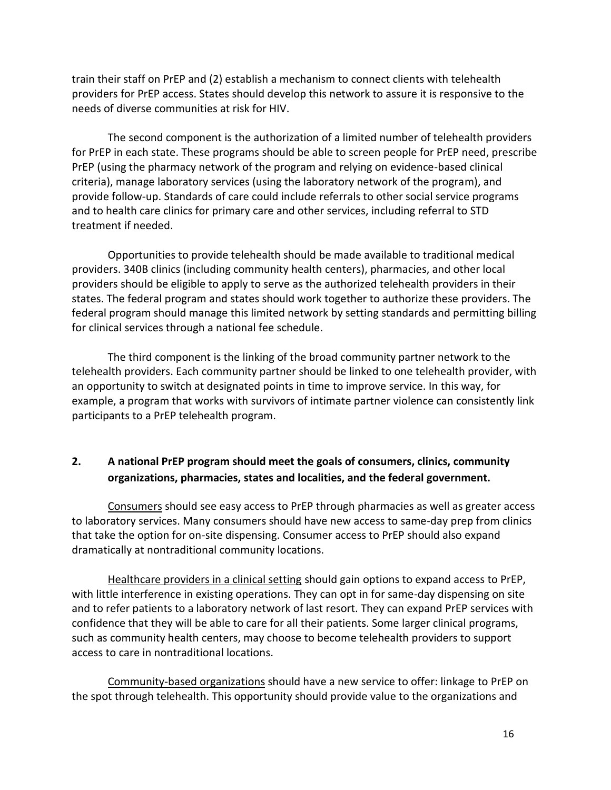train their staff on PrEP and (2) establish a mechanism to connect clients with telehealth providers for PrEP access. States should develop this network to assure it is responsive to the needs of diverse communities at risk for HIV.

The second component is the authorization of a limited number of telehealth providers for PrEP in each state. These programs should be able to screen people for PrEP need, prescribe PrEP (using the pharmacy network of the program and relying on evidence-based clinical criteria), manage laboratory services (using the laboratory network of the program), and provide follow-up. Standards of care could include referrals to other social service programs and to health care clinics for primary care and other services, including referral to STD treatment if needed.

Opportunities to provide telehealth should be made available to traditional medical providers. 340B clinics (including community health centers), pharmacies, and other local providers should be eligible to apply to serve as the authorized telehealth providers in their states. The federal program and states should work together to authorize these providers. The federal program should manage this limited network by setting standards and permitting billing for clinical services through a national fee schedule.

The third component is the linking of the broad community partner network to the telehealth providers. Each community partner should be linked to one telehealth provider, with an opportunity to switch at designated points in time to improve service. In this way, for example, a program that works with survivors of intimate partner violence can consistently link participants to a PrEP telehealth program.

## <span id="page-15-1"></span><span id="page-15-0"></span>**2. A national PrEP program should meet the goals of consumers, clinics, community organizations, pharmacies, states and localities, and the federal government.**

Consumers should see easy access to PrEP through pharmacies as well as greater access to laboratory services. Many consumers should have new access to same-day prep from clinics that take the option for on-site dispensing. Consumer access to PrEP should also expand dramatically at nontraditional community locations.

Healthcare providers in a clinical setting should gain options to expand access to PrEP, with little interference in existing operations. They can opt in for same-day dispensing on site and to refer patients to a laboratory network of last resort. They can expand PrEP services with confidence that they will be able to care for all their patients. Some larger clinical programs, such as community health centers, may choose to become telehealth providers to support access to care in nontraditional locations.

Community-based organizations should have a new service to offer: linkage to PrEP on the spot through telehealth. This opportunity should provide value to the organizations and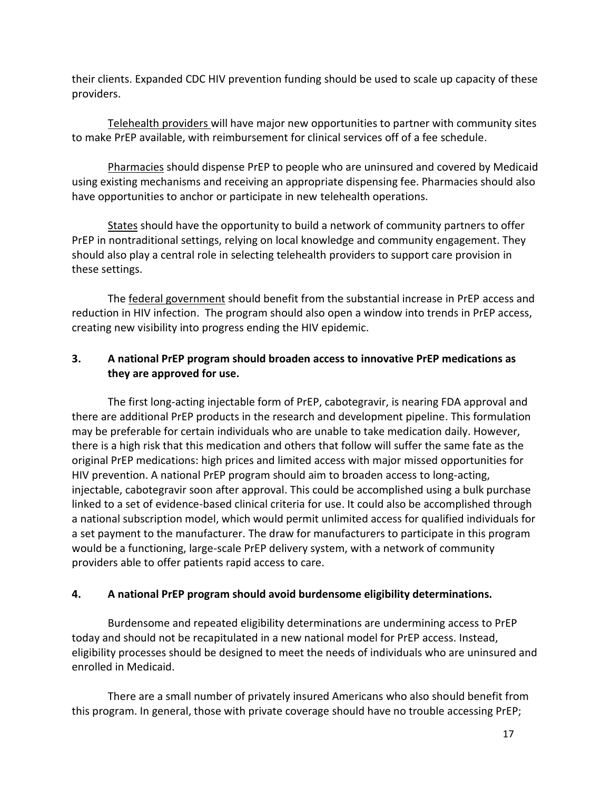their clients. Expanded CDC HIV prevention funding should be used to scale up capacity of these providers.

Telehealth providers will have major new opportunities to partner with community sites to make PrEP available, with reimbursement for clinical services off of a fee schedule.

Pharmacies should dispense PrEP to people who are uninsured and covered by Medicaid using existing mechanisms and receiving an appropriate dispensing fee. Pharmacies should also have opportunities to anchor or participate in new telehealth operations.

States should have the opportunity to build a network of community partners to offer PrEP in nontraditional settings, relying on local knowledge and community engagement. They should also play a central role in selecting telehealth providers to support care provision in these settings.

The federal government should benefit from the substantial increase in PrEP access and reduction in HIV infection. The program should also open a window into trends in PrEP access, creating new visibility into progress ending the HIV epidemic.

## <span id="page-16-0"></span>**3. A national PrEP program should broaden access to innovative PrEP medications as they are approved for use.**

The first long-acting injectable form of PrEP, cabotegravir, is nearing FDA approval and there are additional PrEP products in the research and development pipeline. This formulation may be preferable for certain individuals who are unable to take medication daily. However, there is a high risk that this medication and others that follow will suffer the same fate as the original PrEP medications: high prices and limited access with major missed opportunities for HIV prevention. A national PrEP program should aim to broaden access to long-acting, injectable, cabotegravir soon after approval. This could be accomplished using a bulk purchase linked to a set of evidence-based clinical criteria for use. It could also be accomplished through a national subscription model, which would permit unlimited access for qualified individuals for a set payment to the manufacturer. The draw for manufacturers to participate in this program would be a functioning, large-scale PrEP delivery system, with a network of community providers able to offer patients rapid access to care.

#### <span id="page-16-1"></span>**4. A national PrEP program should avoid burdensome eligibility determinations.**

Burdensome and repeated eligibility determinations are undermining access to PrEP today and should not be recapitulated in a new national model for PrEP access. Instead, eligibility processes should be designed to meet the needs of individuals who are uninsured and enrolled in Medicaid.

There are a small number of privately insured Americans who also should benefit from this program. In general, those with private coverage should have no trouble accessing PrEP;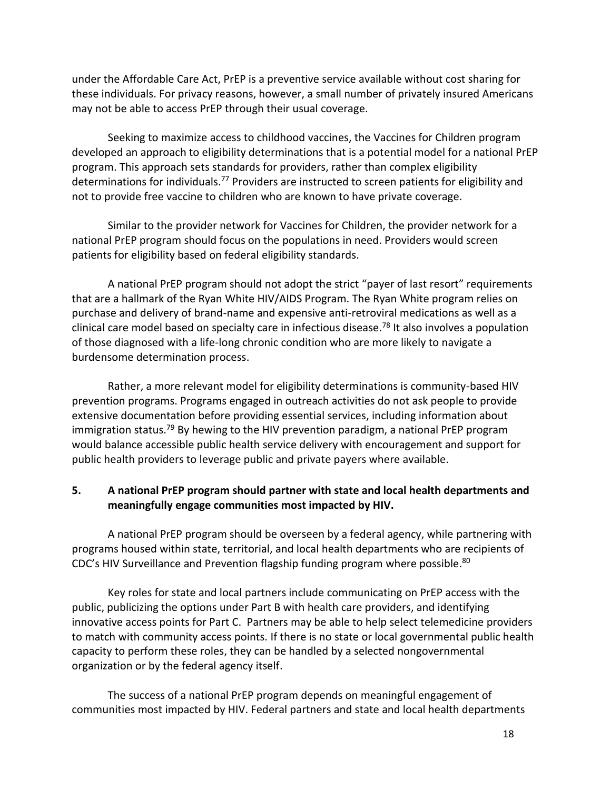under the Affordable Care Act, PrEP is a preventive service available without cost sharing for these individuals. For privacy reasons, however, a small number of privately insured Americans may not be able to access PrEP through their usual coverage.

Seeking to maximize access to childhood vaccines, the Vaccines for Children program developed an approach to eligibility determinations that is a potential model for a national PrEP program. This approach sets standards for providers, rather than complex eligibility determinations for individuals.<sup>77</sup> Providers are instructed to screen patients for eligibility and not to provide free vaccine to children who are known to have private coverage.

Similar to the provider network for Vaccines for Children, the provider network for a national PrEP program should focus on the populations in need. Providers would screen patients for eligibility based on federal eligibility standards.

A national PrEP program should not adopt the strict "payer of last resort" requirements that are a hallmark of the Ryan White HIV/AIDS Program. The Ryan White program relies on purchase and delivery of brand-name and expensive anti-retroviral medications as well as a clinical care model based on specialty care in infectious disease.<sup>78</sup> It also involves a population of those diagnosed with a life-long chronic condition who are more likely to navigate a burdensome determination process.

Rather, a more relevant model for eligibility determinations is community-based HIV prevention programs. Programs engaged in outreach activities do not ask people to provide extensive documentation before providing essential services, including information about immigration status.<sup>79</sup> By hewing to the HIV prevention paradigm, a national PrEP program would balance accessible public health service delivery with encouragement and support for public health providers to leverage public and private payers where available.

#### <span id="page-17-0"></span>**5. A national PrEP program should partner with state and local health departments and meaningfully engage communities most impacted by HIV.**

A national PrEP program should be overseen by a federal agency, while partnering with programs housed within state, territorial, and local health departments who are recipients of CDC's HIV Surveillance and Prevention flagship funding program where possible.<sup>80</sup>

Key roles for state and local partners include communicating on PrEP access with the public, publicizing the options under Part B with health care providers, and identifying innovative access points for Part C. Partners may be able to help select telemedicine providers to match with community access points. If there is no state or local governmental public health capacity to perform these roles, they can be handled by a selected nongovernmental organization or by the federal agency itself.

The success of a national PrEP program depends on meaningful engagement of communities most impacted by HIV. Federal partners and state and local health departments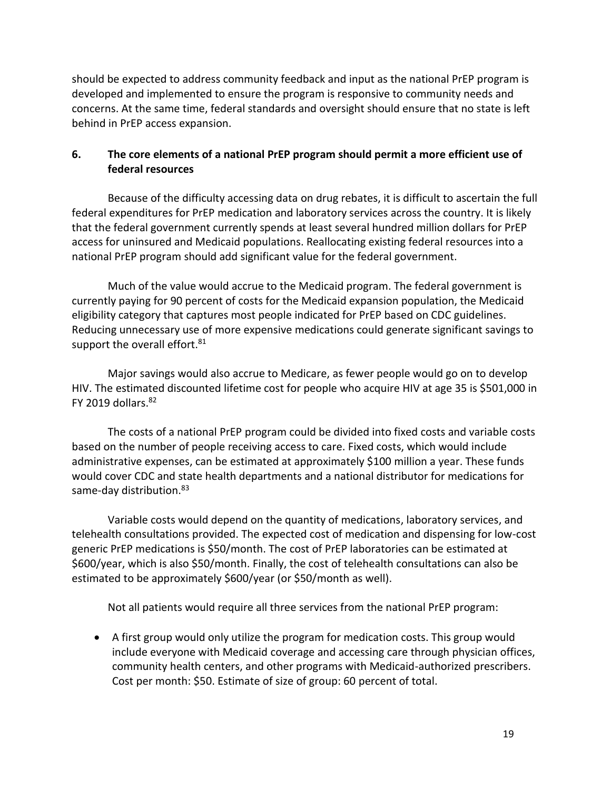should be expected to address community feedback and input as the national PrEP program is developed and implemented to ensure the program is responsive to community needs and concerns. At the same time, federal standards and oversight should ensure that no state is left behind in PrEP access expansion.

#### <span id="page-18-0"></span>**6. The core elements of a national PrEP program should permit a more efficient use of federal resources**

Because of the difficulty accessing data on drug rebates, it is difficult to ascertain the full federal expenditures for PrEP medication and laboratory services across the country. It is likely that the federal government currently spends at least several hundred million dollars for PrEP access for uninsured and Medicaid populations. Reallocating existing federal resources into a national PrEP program should add significant value for the federal government.

Much of the value would accrue to the Medicaid program. The federal government is currently paying for 90 percent of costs for the Medicaid expansion population, the Medicaid eligibility category that captures most people indicated for PrEP based on CDC guidelines. Reducing unnecessary use of more expensive medications could generate significant savings to support the overall effort.<sup>81</sup>

Major savings would also accrue to Medicare, as fewer people would go on to develop HIV. The estimated discounted lifetime cost for people who acquire HIV at age 35 is \$501,000 in FY 2019 dollars. $82$ 

The costs of a national PrEP program could be divided into fixed costs and variable costs based on the number of people receiving access to care. Fixed costs, which would include administrative expenses, can be estimated at approximately \$100 million a year. These funds would cover CDC and state health departments and a national distributor for medications for same-day distribution.<sup>83</sup>

Variable costs would depend on the quantity of medications, laboratory services, and telehealth consultations provided. The expected cost of medication and dispensing for low-cost generic PrEP medications is \$50/month. The cost of PrEP laboratories can be estimated at \$600/year, which is also \$50/month. Finally, the cost of telehealth consultations can also be estimated to be approximately \$600/year (or \$50/month as well).

Not all patients would require all three services from the national PrEP program:

• A first group would only utilize the program for medication costs. This group would include everyone with Medicaid coverage and accessing care through physician offices, community health centers, and other programs with Medicaid-authorized prescribers. Cost per month: \$50. Estimate of size of group: 60 percent of total.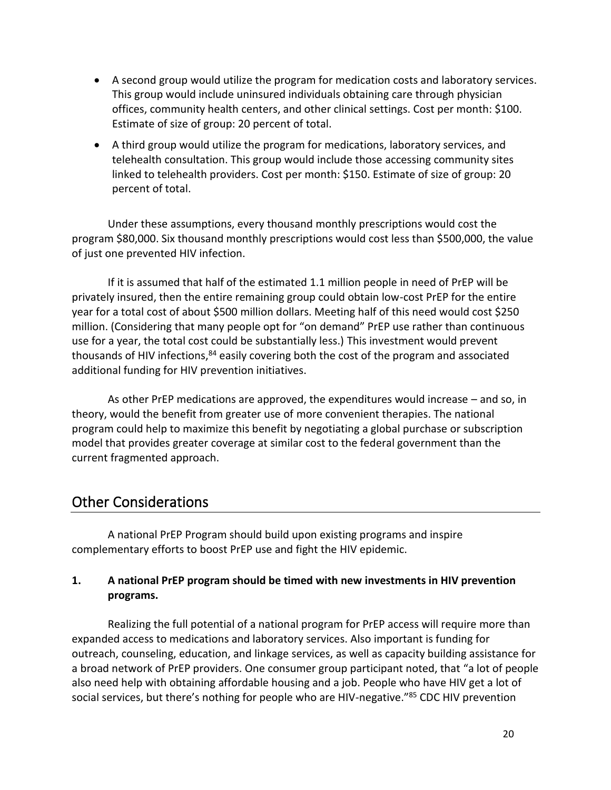- A second group would utilize the program for medication costs and laboratory services. This group would include uninsured individuals obtaining care through physician offices, community health centers, and other clinical settings. Cost per month: \$100. Estimate of size of group: 20 percent of total.
- A third group would utilize the program for medications, laboratory services, and telehealth consultation. This group would include those accessing community sites linked to telehealth providers. Cost per month: \$150. Estimate of size of group: 20 percent of total.

Under these assumptions, every thousand monthly prescriptions would cost the program \$80,000. Six thousand monthly prescriptions would cost less than \$500,000, the value of just one prevented HIV infection.

If it is assumed that half of the estimated 1.1 million people in need of PrEP will be privately insured, then the entire remaining group could obtain low-cost PrEP for the entire year for a total cost of about \$500 million dollars. Meeting half of this need would cost \$250 million. (Considering that many people opt for "on demand" PrEP use rather than continuous use for a year, the total cost could be substantially less.) This investment would prevent thousands of HIV infections,<sup>84</sup> easily covering both the cost of the program and associated additional funding for HIV prevention initiatives.

As other PrEP medications are approved, the expenditures would increase – and so, in theory, would the benefit from greater use of more convenient therapies. The national program could help to maximize this benefit by negotiating a global purchase or subscription model that provides greater coverage at similar cost to the federal government than the current fragmented approach.

# <span id="page-19-0"></span>Other Considerations

A national PrEP Program should build upon existing programs and inspire complementary efforts to boost PrEP use and fight the HIV epidemic.

## <span id="page-19-1"></span>**1. A national PrEP program should be timed with new investments in HIV prevention programs.**

Realizing the full potential of a national program for PrEP access will require more than expanded access to medications and laboratory services. Also important is funding for outreach, counseling, education, and linkage services, as well as capacity building assistance for a broad network of PrEP providers. One consumer group participant noted, that "a lot of people also need help with obtaining affordable housing and a job. People who have HIV get a lot of social services, but there's nothing for people who are HIV-negative."<sup>85</sup> CDC HIV prevention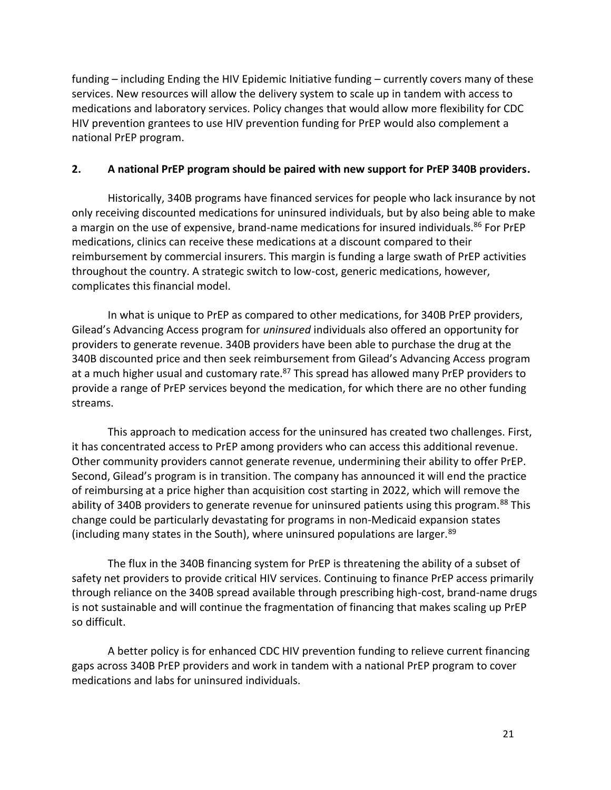funding – including Ending the HIV Epidemic Initiative funding – currently covers many of these services. New resources will allow the delivery system to scale up in tandem with access to medications and laboratory services. Policy changes that would allow more flexibility for CDC HIV prevention grantees to use HIV prevention funding for PrEP would also complement a national PrEP program.

#### <span id="page-20-0"></span>**2. A national PrEP program should be paired with new support for PrEP 340B providers.**

Historically, 340B programs have financed services for people who lack insurance by not only receiving discounted medications for uninsured individuals, but by also being able to make a margin on the use of expensive, brand-name medications for insured individuals.<sup>86</sup> For PrEP medications, clinics can receive these medications at a discount compared to their reimbursement by commercial insurers. This margin is funding a large swath of PrEP activities throughout the country. A strategic switch to low-cost, generic medications, however, complicates this financial model.

In what is unique to PrEP as compared to other medications, for 340B PrEP providers, Gilead's Advancing Access program for *uninsured* individuals also offered an opportunity for providers to generate revenue. 340B providers have been able to purchase the drug at the 340B discounted price and then seek reimbursement from Gilead's Advancing Access program at a much higher usual and customary rate.<sup>87</sup> This spread has allowed many PrEP providers to provide a range of PrEP services beyond the medication, for which there are no other funding streams.

This approach to medication access for the uninsured has created two challenges. First, it has concentrated access to PrEP among providers who can access this additional revenue. Other community providers cannot generate revenue, undermining their ability to offer PrEP. Second, Gilead's program is in transition. The company has announced it will end the practice of reimbursing at a price higher than acquisition cost starting in 2022, which will remove the ability of 340B providers to generate revenue for uninsured patients using this program.<sup>88</sup> This change could be particularly devastating for programs in non-Medicaid expansion states (including many states in the South), where uninsured populations are larger.<sup>89</sup>

The flux in the 340B financing system for PrEP is threatening the ability of a subset of safety net providers to provide critical HIV services. Continuing to finance PrEP access primarily through reliance on the 340B spread available through prescribing high-cost, brand-name drugs is not sustainable and will continue the fragmentation of financing that makes scaling up PrEP so difficult.

A better policy is for enhanced CDC HIV prevention funding to relieve current financing gaps across 340B PrEP providers and work in tandem with a national PrEP program to cover medications and labs for uninsured individuals.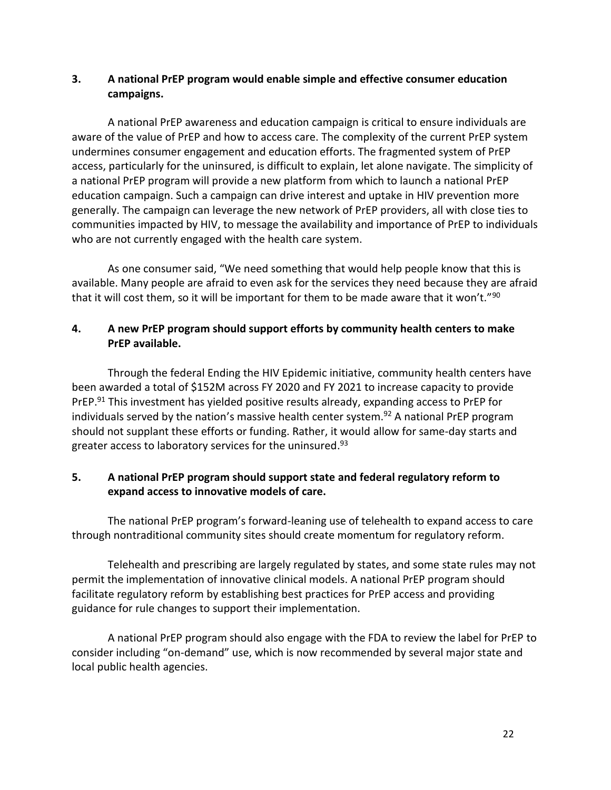## <span id="page-21-0"></span>**3. A national PrEP program would enable simple and effective consumer education campaigns.**

A national PrEP awareness and education campaign is critical to ensure individuals are aware of the value of PrEP and how to access care. The complexity of the current PrEP system undermines consumer engagement and education efforts. The fragmented system of PrEP access, particularly for the uninsured, is difficult to explain, let alone navigate. The simplicity of a national PrEP program will provide a new platform from which to launch a national PrEP education campaign. Such a campaign can drive interest and uptake in HIV prevention more generally. The campaign can leverage the new network of PrEP providers, all with close ties to communities impacted by HIV, to message the availability and importance of PrEP to individuals who are not currently engaged with the health care system.

As one consumer said, "We need something that would help people know that this is available. Many people are afraid to even ask for the services they need because they are afraid that it will cost them, so it will be important for them to be made aware that it won't."<sup>90</sup>

#### <span id="page-21-1"></span>**4. A new PrEP program should support efforts by community health centers to make PrEP available.**

Through the federal Ending the HIV Epidemic initiative, community health centers have been awarded a total of \$152M across FY 2020 and FY 2021 to increase capacity to provide PrEP.<sup>91</sup> This investment has yielded positive results already, expanding access to PrEP for individuals served by the nation's massive health center system.<sup>92</sup> A national PrEP program should not supplant these efforts or funding. Rather, it would allow for same-day starts and greater access to laboratory services for the uninsured. 93

#### <span id="page-21-2"></span>**5. A national PrEP program should support state and federal regulatory reform to expand access to innovative models of care.**

The national PrEP program's forward-leaning use of telehealth to expand access to care through nontraditional community sites should create momentum for regulatory reform.

Telehealth and prescribing are largely regulated by states, and some state rules may not permit the implementation of innovative clinical models. A national PrEP program should facilitate regulatory reform by establishing best practices for PrEP access and providing guidance for rule changes to support their implementation.

A national PrEP program should also engage with the FDA to review the label for PrEP to consider including "on-demand" use, which is now recommended by several major state and local public health agencies.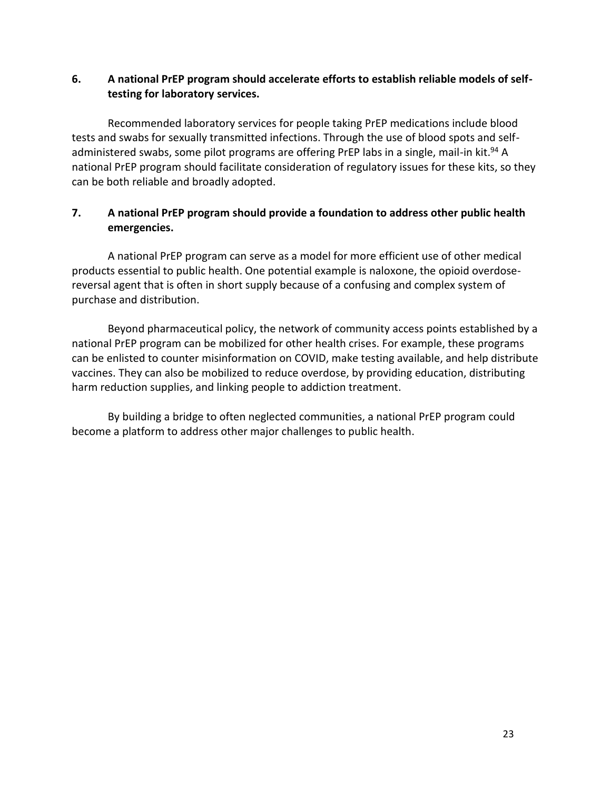#### <span id="page-22-0"></span>**6. A national PrEP program should accelerate efforts to establish reliable models of selftesting for laboratory services.**

Recommended laboratory services for people taking PrEP medications include blood tests and swabs for sexually transmitted infections. Through the use of blood spots and selfadministered swabs, some pilot programs are offering PrEP labs in a single, mail-in kit.<sup>94</sup> A national PrEP program should facilitate consideration of regulatory issues for these kits, so they can be both reliable and broadly adopted.

#### <span id="page-22-1"></span>**7. A national PrEP program should provide a foundation to address other public health emergencies.**

A national PrEP program can serve as a model for more efficient use of other medical products essential to public health. One potential example is naloxone, the opioid overdosereversal agent that is often in short supply because of a confusing and complex system of purchase and distribution.

Beyond pharmaceutical policy, the network of community access points established by a national PrEP program can be mobilized for other health crises. For example, these programs can be enlisted to counter misinformation on COVID, make testing available, and help distribute vaccines. They can also be mobilized to reduce overdose, by providing education, distributing harm reduction supplies, and linking people to addiction treatment.

By building a bridge to often neglected communities, a national PrEP program could become a platform to address other major challenges to public health.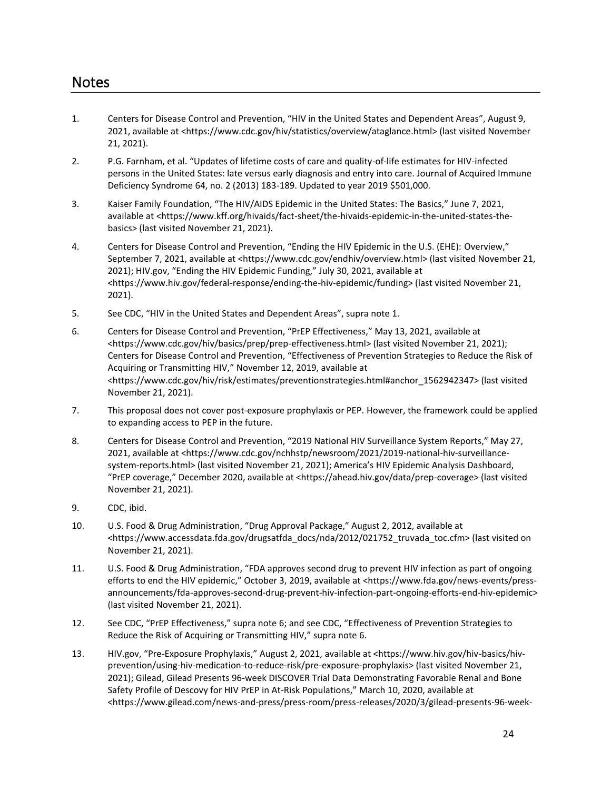- <span id="page-23-0"></span>1. Centers for Disease Control and Prevention, "HIV in the United States and Dependent Areas", August 9, 2021, available at <https://www.cdc.gov/hiv/statistics/overview/ataglance.html> (last visited November 21, 2021).
- 2. P.G. Farnham, et al. "Updates of lifetime costs of care and quality-of-life estimates for HIV-infected persons in the United States: late versus early diagnosis and entry into care. Journal of Acquired Immune Deficiency Syndrome 64, no. 2 (2013) 183-189. Updated to year 2019 \$501,000.
- 3. Kaiser Family Foundation, "The HIV/AIDS Epidemic in the United States: The Basics," June 7, 2021, available at <https://www.kff.org/hivaids/fact-sheet/the-hivaids-epidemic-in-the-united-states-thebasics> (last visited November 21, 2021).
- 4. Centers for Disease Control and Prevention, "Ending the HIV Epidemic in the U.S. (EHE): Overview," September 7, 2021, available at <https://www.cdc.gov/endhiv/overview.html> (last visited November 21, 2021); HIV.gov, "Ending the HIV Epidemic Funding," July 30, 2021, available at <https://www.hiv.gov/federal-response/ending-the-hiv-epidemic/funding> (last visited November 21, 2021).
- 5. See CDC, "HIV in the United States and Dependent Areas", supra note 1.
- 6. Centers for Disease Control and Prevention, "PrEP Effectiveness," May 13, 2021, available at <https://www.cdc.gov/hiv/basics/prep/prep-effectiveness.html> (last visited November 21, 2021); Centers for Disease Control and Prevention, "Effectiveness of Prevention Strategies to Reduce the Risk of Acquiring or Transmitting HIV," November 12, 2019, available at <https://www.cdc.gov/hiv/risk/estimates/preventionstrategies.html#anchor\_1562942347> (last visited November 21, 2021).
- 7. This proposal does not cover post-exposure prophylaxis or PEP. However, the framework could be applied to expanding access to PEP in the future.
- 8. Centers for Disease Control and Prevention, "2019 National HIV Surveillance System Reports," May 27, 2021, available at <https://www.cdc.gov/nchhstp/newsroom/2021/2019-national-hiv-surveillancesystem-reports.html> (last visited November 21, 2021); America's HIV Epidemic Analysis Dashboard, "PrEP coverage," December 2020, available at <https://ahead.hiv.gov/data/prep-coverage> (last visited November 21, 2021).
- 9. CDC, ibid.
- 10. U.S. Food & Drug Administration, "Drug Approval Package," August 2, 2012, available at <https://www.accessdata.fda.gov/drugsatfda\_docs/nda/2012/021752\_truvada\_toc.cfm> (last visited on November 21, 2021).
- 11. U.S. Food & Drug Administration, "FDA approves second drug to prevent HIV infection as part of ongoing efforts to end the HIV epidemic," October 3, 2019, available at <https://www.fda.gov/news-events/pressannouncements/fda-approves-second-drug-prevent-hiv-infection-part-ongoing-efforts-end-hiv-epidemic> (last visited November 21, 2021).
- 12. See CDC, "PrEP Effectiveness," supra note 6; and see CDC, "Effectiveness of Prevention Strategies to Reduce the Risk of Acquiring or Transmitting HIV," supra note 6.
- 13. HIV.gov, "Pre-Exposure Prophylaxis," August 2, 2021, available at <https://www.hiv.gov/hiv-basics/hivprevention/using-hiv-medication-to-reduce-risk/pre-exposure-prophylaxis> (last visited November 21, 2021); Gilead, Gilead Presents 96-week DISCOVER Trial Data Demonstrating Favorable Renal and Bone Safety Profile of Descovy for HIV PrEP in At-Risk Populations," March 10, 2020, available at <https://www.gilead.com/news-and-press/press-room/press-releases/2020/3/gilead-presents-96-week-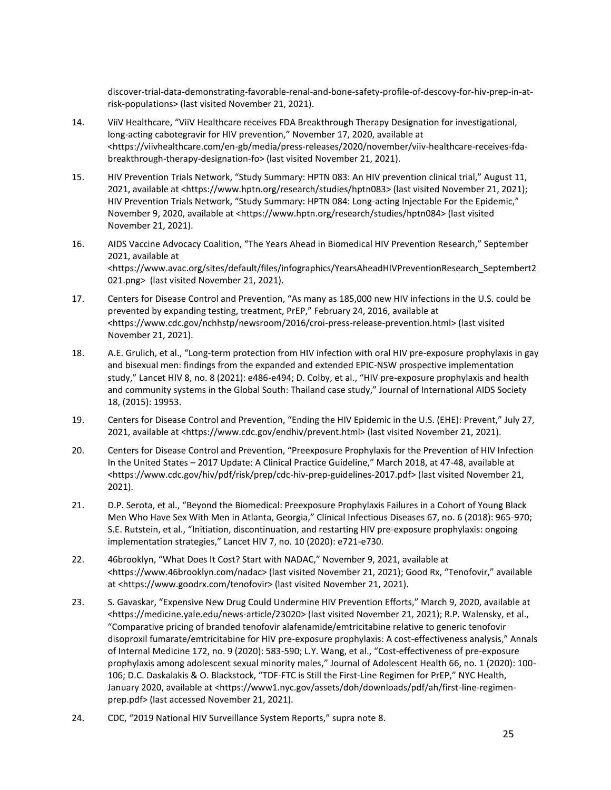discover-trial-data-demonstrating-favorable-renal-and-bone-safety-profile-of-descovy-for-hiv-prep-in-atrisk-populations> (last visited November 21, 2021).

- 14. ViiV Healthcare, "ViiV Healthcare receives FDA Breakthrough Therapy Designation for investigational, long-acting cabotegravir for HIV prevention," November 17, 2020, available at <https://viivhealthcare.com/en-gb/media/press-releases/2020/november/viiv-healthcare-receives-fdabreakthrough-therapy-designation-fo> (last visited November 21, 2021).
- 15. HIV Prevention Trials Network, "Study Summary: HPTN 083: An HIV prevention clinical trial," August 11, 2021, available at <https://www.hptn.org/research/studies/hptn083> (last visited November 21, 2021); HIV Prevention Trials Network, "Study Summary: HPTN 084: Long-acting Injectable For the Epidemic," November 9, 2020, available at <https://www.hptn.org/research/studies/hptn084> (last visited November 21, 2021).
- 16. AIDS Vaccine Advocacy Coalition, "The Years Ahead in Biomedical HIV Prevention Research," September 2021, available at <https://www.avac.org/sites/default/files/infographics/YearsAheadHIVPreventionResearch\_Septembert2 021.png> (last visited November 21, 2021).
- 17. Centers for Disease Control and Prevention, "As many as 185,000 new HIV infections in the U.S. could be prevented by expanding testing, treatment, PrEP," February 24, 2016, available at <https://www.cdc.gov/nchhstp/newsroom/2016/croi-press-release-prevention.html> (last visited November 21, 2021).
- 18. A.E. Grulich, et al., "Long-term protection from HIV infection with oral HIV pre-exposure prophylaxis in gay and bisexual men: findings from the expanded and extended EPIC-NSW prospective implementation study," Lancet HIV 8, no. 8 (2021): e486-e494; D. Colby, et al., "HIV pre-exposure prophylaxis and health and community systems in the Global South: Thailand case study," Journal of International AIDS Society 18, (2015): 19953.
- 19. Centers for Disease Control and Prevention, "Ending the HIV Epidemic in the U.S. (EHE): Prevent," July 27, 2021, available at <https://www.cdc.gov/endhiv/prevent.html> (last visited November 21, 2021).
- 20. Centers for Disease Control and Prevention, "Preexposure Prophylaxis for the Prevention of HIV Infection In the United States – 2017 Update: A Clinical Practice Guideline," March 2018, at 47-48, available at <https://www.cdc.gov/hiv/pdf/risk/prep/cdc-hiv-prep-guidelines-2017.pdf> (last visited November 21, 2021).
- 21. D.P. Serota, et al., "Beyond the Biomedical: Preexposure Prophylaxis Failures in a Cohort of Young Black Men Who Have Sex With Men in Atlanta, Georgia," Clinical Infectious Diseases 67, no. 6 (2018): 965-970; S.E. Rutstein, et al., "Initiation, discontinuation, and restarting HIV pre-exposure prophylaxis: ongoing implementation strategies," Lancet HIV 7, no. 10 (2020): e721-e730.
- 22. 46brooklyn, "What Does It Cost? Start with NADAC," November 9, 2021, available at <https://www.46brooklyn.com/nadac> (last visited November 21, 2021); Good Rx, "Tenofovir," available at <https://www.goodrx.com/tenofovir> (last visited November 21, 2021).
- 23. S. Gavaskar, "Expensive New Drug Could Undermine HIV Prevention Efforts," March 9, 2020, available at <https://medicine.yale.edu/news-article/23020> (last visited November 21, 2021); R.P. Walensky, et al., "Comparative pricing of branded tenofovir alafenamide/emtricitabine relative to generic tenofovir disoproxil fumarate/emtricitabine for HIV pre-exposure prophylaxis: A cost-effectiveness analysis," Annals of Internal Medicine 172, no. 9 (2020): 583-590; L.Y. Wang, et al., "Cost-effectiveness of pre-exposure prophylaxis among adolescent sexual minority males," Journal of Adolescent Health 66, no. 1 (2020): 100- 106; D.C. Daskalakis & O. Blackstock, "TDF-FTC is Still the First-Line Regimen for PrEP," NYC Health, January 2020, available at <https://www1.nyc.gov/assets/doh/downloads/pdf/ah/first-line-regimenprep.pdf> (last accessed November 21, 2021).
- 24. CDC, "2019 National HIV Surveillance System Reports," supra note 8.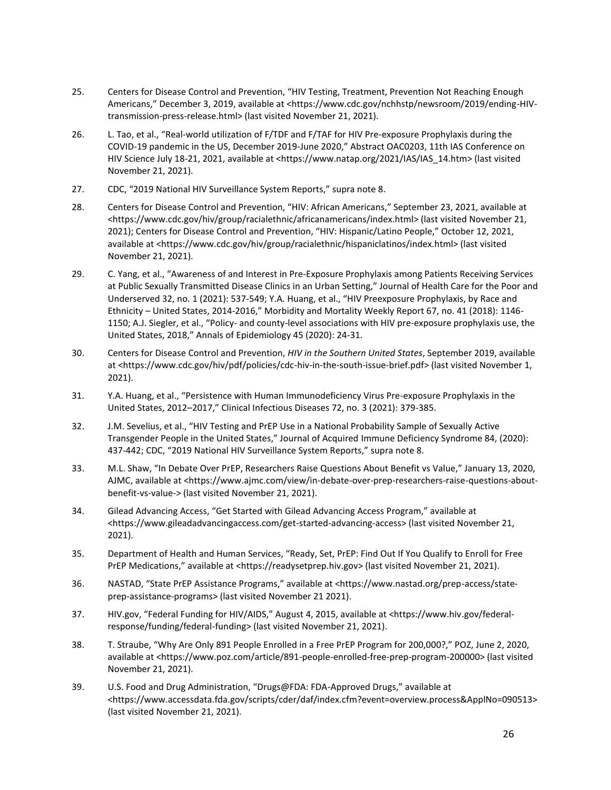- 25. Centers for Disease Control and Prevention, "HIV Testing, Treatment, Prevention Not Reaching Enough Americans," December 3, 2019, available at <https://www.cdc.gov/nchhstp/newsroom/2019/ending-HIVtransmission-press-release.html> (last visited November 21, 2021).
- 26. L. Tao, et al., "Real-world utilization of F/TDF and F/TAF for HIV Pre-exposure Prophylaxis during the COVID-19 pandemic in the US, December 2019-June 2020," Abstract OAC0203, 11th IAS Conference on HIV Science July 18-21, 2021, available at <https://www.natap.org/2021/IAS/IAS\_14.htm> (last visited November 21, 2021).
- 27. CDC, "2019 National HIV Surveillance System Reports," supra note 8.
- 28. Centers for Disease Control and Prevention, "HIV: African Americans," September 23, 2021, available at <https://www.cdc.gov/hiv/group/racialethnic/africanamericans/index.html> (last visited November 21, 2021); Centers for Disease Control and Prevention, "HIV: Hispanic/Latino People," October 12, 2021, available at <https://www.cdc.gov/hiv/group/racialethnic/hispaniclatinos/index.html> (last visited November 21, 2021).
- 29. C. Yang, et al., "Awareness of and Interest in Pre-Exposure Prophylaxis among Patients Receiving Services at Public Sexually Transmitted Disease Clinics in an Urban Setting," Journal of Health Care for the Poor and Underserved 32, no. 1 (2021): 537-549; Y.A. Huang, et al., "HIV Preexposure Prophylaxis, by Race and Ethnicity – United States, 2014-2016," Morbidity and Mortality Weekly Report 67, no. 41 (2018): 1146- 1150; A.J. Siegler, et al., "Policy- and county-level associations with HIV pre-exposure prophylaxis use, the United States, 2018," Annals of Epidemiology 45 (2020): 24-31.
- 30. Centers for Disease Control and Prevention, *HIV in the Southern United States*, September 2019, available at <https://www.cdc.gov/hiv/pdf/policies/cdc-hiv-in-the-south-issue-brief.pdf> (last visited November 1, 2021).
- 31. Y.A. Huang, et al., "Persistence with Human Immunodeficiency Virus Pre-exposure Prophylaxis in the United States, 2012–2017," Clinical Infectious Diseases 72, no. 3 (2021): 379-385.
- 32. J.M. Sevelius, et al., "HIV Testing and PrEP Use in a National Probability Sample of Sexually Active Transgender People in the United States," Journal of Acquired Immune Deficiency Syndrome 84, (2020): 437-442; CDC, "2019 National HIV Surveillance System Reports," supra note 8.
- 33. M.L. Shaw, "In Debate Over PrEP, Researchers Raise Questions About Benefit vs Value," January 13, 2020, AJMC, available at <https://www.ajmc.com/view/in-debate-over-prep-researchers-raise-questions-aboutbenefit-vs-value-> (last visited November 21, 2021).
- 34. Gilead Advancing Access, "Get Started with Gilead Advancing Access Program," available at <https://www.gileadadvancingaccess.com/get-started-advancing-access> (last visited November 21, 2021).
- 35. Department of Health and Human Services, "Ready, Set, PrEP: Find Out If You Qualify to Enroll for Free PrEP Medications," available at <https://readysetprep.hiv.gov> (last visited November 21, 2021).
- 36. NASTAD, "State PrEP Assistance Programs," available at <https://www.nastad.org/prep-access/stateprep-assistance-programs> (last visited November 21 2021).
- 37. HIV.gov, "Federal Funding for HIV/AIDS," August 4, 2015, available at <https://www.hiv.gov/federalresponse/funding/federal-funding> (last visited November 21, 2021).
- 38. T. Straube, "Why Are Only 891 People Enrolled in a Free PrEP Program for 200,000?," POZ, June 2, 2020, available at <https://www.poz.com/article/891-people-enrolled-free-prep-program-200000> (last visited November 21, 2021).
- 39. U.S. Food and Drug Administration, "Drugs@FDA: FDA-Approved Drugs," available at <https://www.accessdata.fda.gov/scripts/cder/daf/index.cfm?event=overview.process&ApplNo=090513> (last visited November 21, 2021).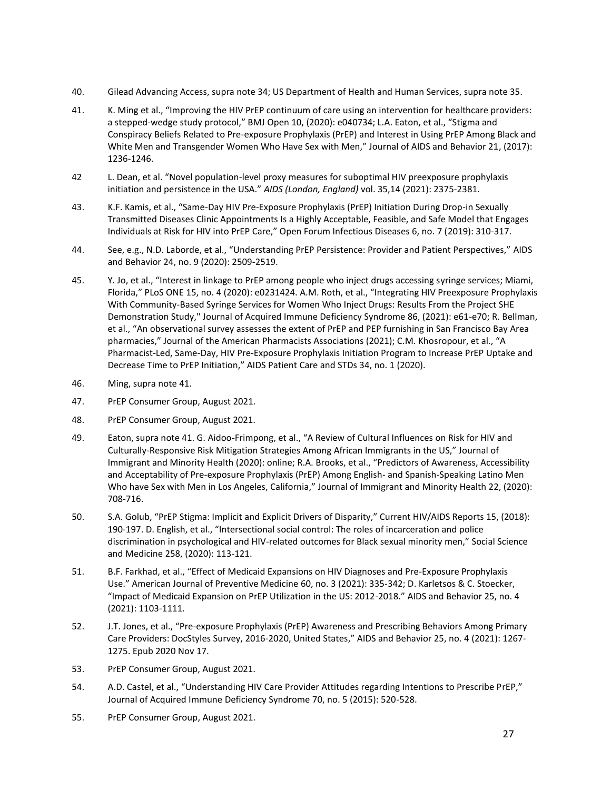- 40. Gilead Advancing Access, supra note 34; US Department of Health and Human Services, supra note 35.
- 41. K. Ming et al., "Improving the HIV PrEP continuum of care using an intervention for healthcare providers: a stepped-wedge study protocol," BMJ Open 10, (2020): e040734; L.A. Eaton, et al., "Stigma and Conspiracy Beliefs Related to Pre-exposure Prophylaxis (PrEP) and Interest in Using PrEP Among Black and White Men and Transgender Women Who Have Sex with Men," Journal of AIDS and Behavior 21, (2017): 1236-1246.
- 42 L. Dean, et al. "Novel population-level proxy measures for suboptimal HIV preexposure prophylaxis initiation and persistence in the USA." *AIDS (London, England)* vol. 35,14 (2021): 2375-2381.
- 43. K.F. Kamis, et al., "Same-Day HIV Pre-Exposure Prophylaxis (PrEP) Initiation During Drop-in Sexually Transmitted Diseases Clinic Appointments Is a Highly Acceptable, Feasible, and Safe Model that Engages Individuals at Risk for HIV into PrEP Care," Open Forum Infectious Diseases 6, no. 7 (2019): 310-317.
- 44. See, e.g., N.D. Laborde, et al., "Understanding PrEP Persistence: Provider and Patient Perspectives," AIDS and Behavior 24, no. 9 (2020): 2509-2519.
- 45. Y. Jo, et al., "Interest in linkage to PrEP among people who inject drugs accessing syringe services; Miami, Florida," PLoS ONE 15, no. 4 (2020): e0231424. A.M. Roth, et al., "Integrating HIV Preexposure Prophylaxis With Community-Based Syringe Services for Women Who Inject Drugs: Results From the Project SHE Demonstration Study," Journal of Acquired Immune Deficiency Syndrome 86, (2021): e61-e70; R. Bellman, et al., "An observational survey assesses the extent of PrEP and PEP furnishing in San Francisco Bay Area pharmacies," Journal of the American Pharmacists Associations (2021); C.M. Khosropour, et al., "A Pharmacist-Led, Same-Day, HIV Pre-Exposure Prophylaxis Initiation Program to Increase PrEP Uptake and Decrease Time to PrEP Initiation," AIDS Patient Care and STDs 34, no. 1 (2020).
- 46. Ming, supra note 41.
- 47. PrEP Consumer Group, August 2021.
- 48. PrEP Consumer Group, August 2021.
- 49. Eaton, supra note 41. G. Aidoo-Frimpong, et al., "A Review of Cultural Influences on Risk for HIV and Culturally-Responsive Risk Mitigation Strategies Among African Immigrants in the US," Journal of Immigrant and Minority Health (2020): online; R.A. Brooks, et al., "Predictors of Awareness, Accessibility and Acceptability of Pre-exposure Prophylaxis (PrEP) Among English- and Spanish-Speaking Latino Men Who have Sex with Men in Los Angeles, California," Journal of Immigrant and Minority Health 22, (2020): 708-716.
- 50. S.A. Golub, "PrEP Stigma: Implicit and Explicit Drivers of Disparity," Current HIV/AIDS Reports 15, (2018): 190-197. D. English, et al., "Intersectional social control: The roles of incarceration and police discrimination in psychological and HIV-related outcomes for Black sexual minority men," Social Science and Medicine 258, (2020): 113-121.
- 51. B.F. Farkhad, et al., "Effect of Medicaid Expansions on HIV Diagnoses and Pre-Exposure Prophylaxis Use." American Journal of Preventive Medicine 60, no. 3 (2021): 335-342; D. Karletsos & C. Stoecker, "Impact of Medicaid Expansion on PrEP Utilization in the US: 2012-2018." AIDS and Behavior 25, no. 4 (2021): 1103-1111.
- 52. J.T. Jones, et al., "Pre-exposure Prophylaxis (PrEP) Awareness and Prescribing Behaviors Among Primary Care Providers: DocStyles Survey, 2016-2020, United States," AIDS and Behavior 25, no. 4 (2021): 1267- 1275. Epub 2020 Nov 17.
- 53. PrEP Consumer Group, August 2021.
- 54. A.D. Castel, et al., "Understanding HIV Care Provider Attitudes regarding Intentions to Prescribe PrEP," Journal of Acquired Immune Deficiency Syndrome 70, no. 5 (2015): 520-528.
- 55. PrEP Consumer Group, August 2021.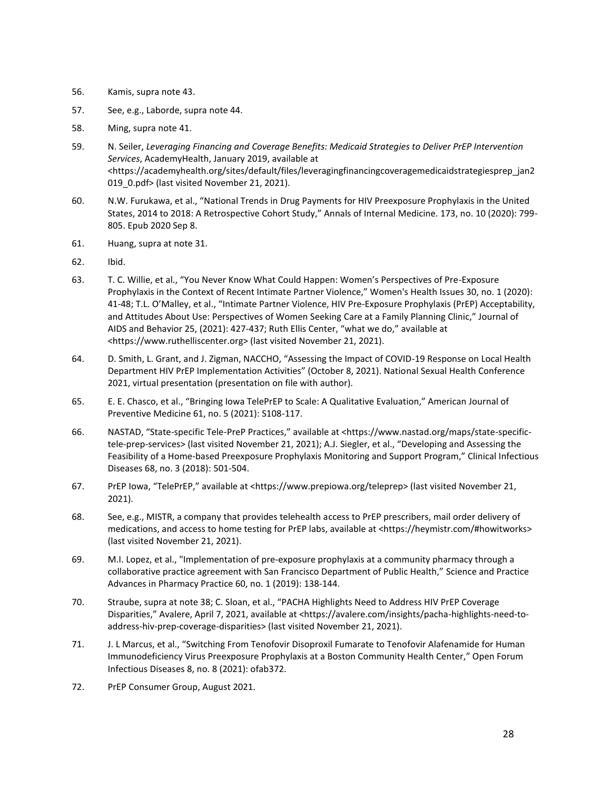- 56. Kamis, supra note 43.
- 57. See, e.g., Laborde, supra note 44.
- 58. Ming, supra note 41.
- 59. N. Seiler, *Leveraging Financing and Coverage Benefits: Medicaid Strategies to Deliver PrEP Intervention Services*, AcademyHealth, January 2019, available at <https://academyhealth.org/sites/default/files/leveragingfinancingcoveragemedicaidstrategiesprep\_jan2 019 O.pdf> (last visited November 21, 2021).
- 60. N.W. Furukawa, et al., "National Trends in Drug Payments for HIV Preexposure Prophylaxis in the United States, 2014 to 2018: A Retrospective Cohort Study," Annals of Internal Medicine. 173, no. 10 (2020): 799- 805. Epub 2020 Sep 8.
- 61. Huang, supra at note 31.
- 62. Ibid.
- 63. T. C. Willie, et al., "You Never Know What Could Happen: Women's Perspectives of Pre-Exposure Prophylaxis in the Context of Recent Intimate Partner Violence," Women's Health Issues 30, no. 1 (2020): 41-48; T.L. O'Malley, et al., "Intimate Partner Violence, HIV Pre-Exposure Prophylaxis (PrEP) Acceptability, and Attitudes About Use: Perspectives of Women Seeking Care at a Family Planning Clinic," Journal of AIDS and Behavior 25, (2021): 427-437; Ruth Ellis Center, "what we do," available at <https://www.ruthelliscenter.org> (last visited November 21, 2021).
- 64. D. Smith, L. Grant, and J. Zigman, NACCHO, "Assessing the Impact of COVID-19 Response on Local Health Department HIV PrEP Implementation Activities" (October 8, 2021). National Sexual Health Conference 2021, virtual presentation (presentation on file with author).
- 65. E. E. Chasco, et al., "Bringing Iowa TelePrEP to Scale: A Qualitative Evaluation," American Journal of Preventive Medicine 61, no. 5 (2021): S108-117.
- 66. NASTAD, "State-specific Tele-PreP Practices," available at <https://www.nastad.org/maps/state-specifictele-prep-services> (last visited November 21, 2021); A.J. Siegler, et al., "Developing and Assessing the Feasibility of a Home-based Preexposure Prophylaxis Monitoring and Support Program," Clinical Infectious Diseases 68, no. 3 (2018): 501-504.
- 67. PrEP Iowa, "TelePrEP," available at <https://www.prepiowa.org/teleprep> (last visited November 21, 2021).
- 68. See, e.g., MISTR, a company that provides telehealth access to PrEP prescribers, mail order delivery of medications, and access to home testing for PrEP labs, available at <https://heymistr.com/#howitworks> (last visited November 21, 2021).
- 69. M.I. Lopez, et al., "Implementation of pre-exposure prophylaxis at a community pharmacy through a collaborative practice agreement with San Francisco Department of Public Health," Science and Practice Advances in Pharmacy Practice 60, no. 1 (2019): 138-144.
- 70. Straube, supra at note 38; C. Sloan, et al., "PACHA Highlights Need to Address HIV PrEP Coverage Disparities," Avalere, April 7, 2021, available at <https://avalere.com/insights/pacha-highlights-need-toaddress-hiv-prep-coverage-disparities> (last visited November 21, 2021).
- 71. J. L Marcus, et al., "Switching From Tenofovir Disoproxil Fumarate to Tenofovir Alafenamide for Human Immunodeficiency Virus Preexposure Prophylaxis at a Boston Community Health Center," Open Forum Infectious Diseases 8, no. 8 (2021): ofab372.
- 72. PrEP Consumer Group, August 2021.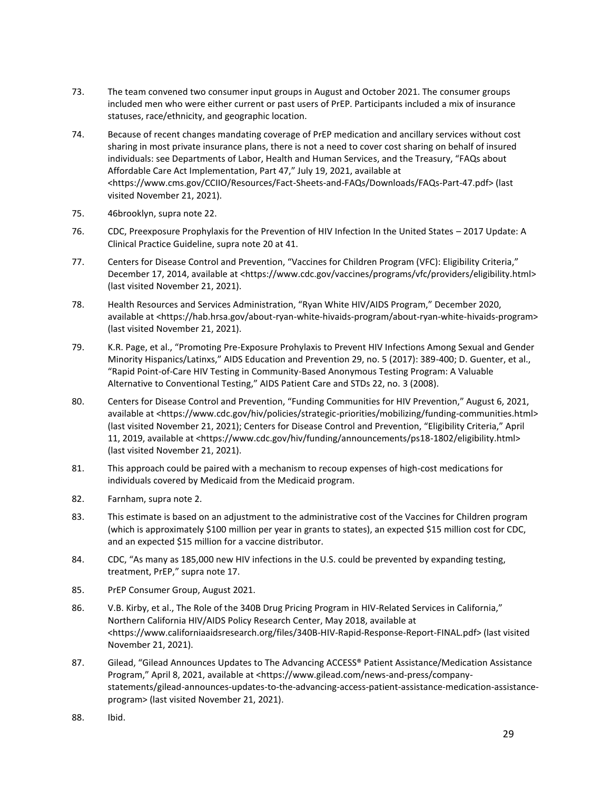- 73. The team convened two consumer input groups in August and October 2021. The consumer groups included men who were either current or past users of PrEP. Participants included a mix of insurance statuses, race/ethnicity, and geographic location.
- 74. Because of recent changes mandating coverage of PrEP medication and ancillary services without cost sharing in most private insurance plans, there is not a need to cover cost sharing on behalf of insured individuals: see Departments of Labor, Health and Human Services, and the Treasury, "FAQs about Affordable Care Act Implementation, Part 47," July 19, 2021, available at <https://www.cms.gov/CCIIO/Resources/Fact-Sheets-and-FAQs/Downloads/FAQs-Part-47.pdf> (last visited November 21, 2021).
- 75. 46brooklyn, supra note 22.
- 76. CDC, Preexposure Prophylaxis for the Prevention of HIV Infection In the United States 2017 Update: A Clinical Practice Guideline, supra note 20 at 41.
- 77. Centers for Disease Control and Prevention, "Vaccines for Children Program (VFC): Eligibility Criteria," December 17, 2014, available at <https://www.cdc.gov/vaccines/programs/vfc/providers/eligibility.html> (last visited November 21, 2021).
- 78. Health Resources and Services Administration, "Ryan White HIV/AIDS Program," December 2020, available at <https://hab.hrsa.gov/about-ryan-white-hivaids-program/about-ryan-white-hivaids-program> (last visited November 21, 2021).
- 79. K.R. Page, et al., "Promoting Pre-Exposure Prohylaxis to Prevent HIV Infections Among Sexual and Gender Minority Hispanics/Latinxs," AIDS Education and Prevention 29, no. 5 (2017): 389-400; D. Guenter, et al., "Rapid Point-of-Care HIV Testing in Community-Based Anonymous Testing Program: A Valuable Alternative to Conventional Testing," AIDS Patient Care and STDs 22, no. 3 (2008).
- 80. Centers for Disease Control and Prevention, "Funding Communities for HIV Prevention," August 6, 2021, available at <https://www.cdc.gov/hiv/policies/strategic-priorities/mobilizing/funding-communities.html> (last visited November 21, 2021); Centers for Disease Control and Prevention, "Eligibility Criteria," April 11, 2019, available at <https://www.cdc.gov/hiv/funding/announcements/ps18-1802/eligibility.html> (last visited November 21, 2021).
- 81. This approach could be paired with a mechanism to recoup expenses of high-cost medications for individuals covered by Medicaid from the Medicaid program.
- 82. Farnham, supra note 2.
- 83. This estimate is based on an adjustment to the administrative cost of the Vaccines for Children program (which is approximately \$100 million per year in grants to states), an expected \$15 million cost for CDC, and an expected \$15 million for a vaccine distributor.
- 84. CDC, "As many as 185,000 new HIV infections in the U.S. could be prevented by expanding testing, treatment, PrEP," supra note 17.
- 85. PrEP Consumer Group, August 2021.
- 86. V.B. Kirby, et al., The Role of the 340B Drug Pricing Program in HIV-Related Services in California," Northern California HIV/AIDS Policy Research Center, May 2018, available at <https://www.californiaaidsresearch.org/files/340B-HIV-Rapid-Response-Report-FINAL.pdf> (last visited November 21, 2021).
- 87. Gilead, "Gilead Announces Updates to The Advancing ACCESS® Patient Assistance/Medication Assistance Program," April 8, 2021, available at <https://www.gilead.com/news-and-press/companystatements/gilead-announces-updates-to-the-advancing-access-patient-assistance-medication-assistanceprogram> (last visited November 21, 2021).
- 88. Ibid.